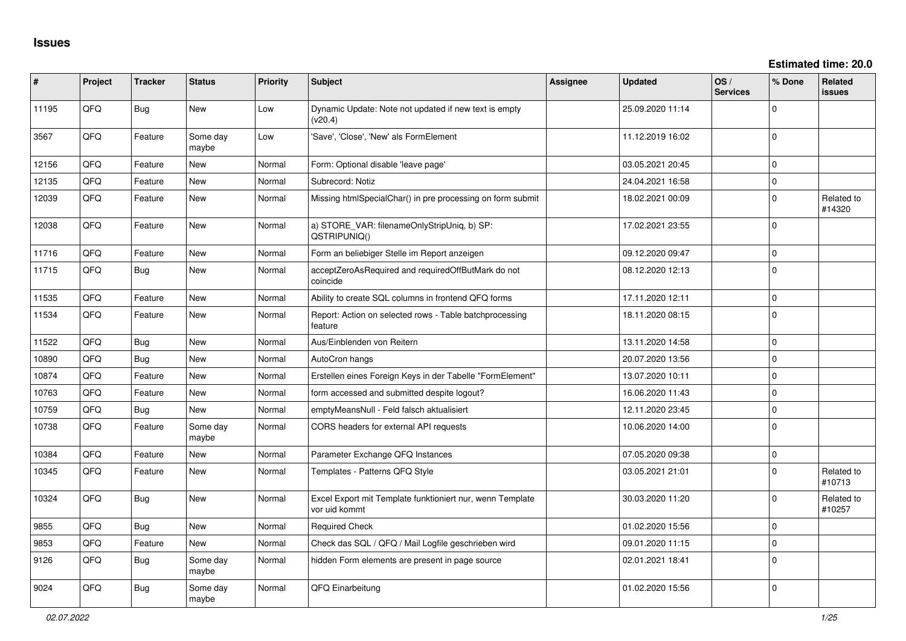| #     | Project | <b>Tracker</b> | <b>Status</b>     | <b>Priority</b> | <b>Subject</b>                                                             | <b>Assignee</b> | <b>Updated</b>   | OS/<br><b>Services</b> | % Done              | Related<br>issues    |
|-------|---------|----------------|-------------------|-----------------|----------------------------------------------------------------------------|-----------------|------------------|------------------------|---------------------|----------------------|
| 11195 | QFQ     | <b>Bug</b>     | <b>New</b>        | Low             | Dynamic Update: Note not updated if new text is empty<br>(v20.4)           |                 | 25.09.2020 11:14 |                        | $\Omega$            |                      |
| 3567  | QFQ     | Feature        | Some day<br>maybe | Low             | 'Save', 'Close', 'New' als FormElement                                     |                 | 11.12.2019 16:02 |                        | $\Omega$            |                      |
| 12156 | QFQ     | Feature        | <b>New</b>        | Normal          | Form: Optional disable 'leave page'                                        |                 | 03.05.2021 20:45 |                        | $\Omega$            |                      |
| 12135 | QFQ     | Feature        | <b>New</b>        | Normal          | Subrecord: Notiz                                                           |                 | 24.04.2021 16:58 |                        | $\mathbf 0$         |                      |
| 12039 | QFQ     | Feature        | New               | Normal          | Missing htmlSpecialChar() in pre processing on form submit                 |                 | 18.02.2021 00:09 |                        | $\mathbf 0$         | Related to<br>#14320 |
| 12038 | QFQ     | Feature        | <b>New</b>        | Normal          | a) STORE_VAR: filenameOnlyStripUniq, b) SP:<br>QSTRIPUNIQ()                |                 | 17.02.2021 23:55 |                        | $\mathbf 0$         |                      |
| 11716 | QFQ     | Feature        | <b>New</b>        | Normal          | Form an beliebiger Stelle im Report anzeigen                               |                 | 09.12.2020 09:47 |                        | $\mathbf 0$         |                      |
| 11715 | QFQ     | <b>Bug</b>     | <b>New</b>        | Normal          | acceptZeroAsRequired and requiredOffButMark do not<br>coincide             |                 | 08.12.2020 12:13 |                        | $\Omega$            |                      |
| 11535 | QFQ     | Feature        | <b>New</b>        | Normal          | Ability to create SQL columns in frontend QFQ forms                        |                 | 17.11.2020 12:11 |                        | $\mathbf 0$         |                      |
| 11534 | QFQ     | Feature        | New               | Normal          | Report: Action on selected rows - Table batchprocessing<br>feature         |                 | 18.11.2020 08:15 |                        | $\Omega$            |                      |
| 11522 | QFQ     | Bug            | <b>New</b>        | Normal          | Aus/Einblenden von Reitern                                                 |                 | 13.11.2020 14:58 |                        | $\mathbf 0$         |                      |
| 10890 | QFQ     | <b>Bug</b>     | <b>New</b>        | Normal          | AutoCron hangs                                                             |                 | 20.07.2020 13:56 |                        | $\Omega$            |                      |
| 10874 | QFQ     | Feature        | <b>New</b>        | Normal          | Erstellen eines Foreign Keys in der Tabelle "FormElement"                  |                 | 13.07.2020 10:11 |                        | $\mathbf 0$         |                      |
| 10763 | QFQ     | Feature        | <b>New</b>        | Normal          | form accessed and submitted despite logout?                                |                 | 16.06.2020 11:43 |                        | $\mathbf 0$         |                      |
| 10759 | QFQ     | <b>Bug</b>     | New               | Normal          | emptyMeansNull - Feld falsch aktualisiert                                  |                 | 12.11.2020 23:45 |                        | $\Omega$            |                      |
| 10738 | QFQ     | Feature        | Some day<br>maybe | Normal          | CORS headers for external API requests                                     |                 | 10.06.2020 14:00 |                        | $\Omega$            |                      |
| 10384 | QFQ     | Feature        | <b>New</b>        | Normal          | Parameter Exchange QFQ Instances                                           |                 | 07.05.2020 09:38 |                        | $\pmb{0}$           |                      |
| 10345 | QFQ     | Feature        | New               | Normal          | Templates - Patterns QFQ Style                                             |                 | 03.05.2021 21:01 |                        | $\Omega$            | Related to<br>#10713 |
| 10324 | QFQ     | Bug            | <b>New</b>        | Normal          | Excel Export mit Template funktioniert nur, wenn Template<br>vor uid kommt |                 | 30.03.2020 11:20 |                        | $\Omega$            | Related to<br>#10257 |
| 9855  | QFQ     | <b>Bug</b>     | <b>New</b>        | Normal          | <b>Required Check</b>                                                      |                 | 01.02.2020 15:56 |                        | $\mathbf 0$         |                      |
| 9853  | QFQ     | Feature        | New               | Normal          | Check das SQL / QFQ / Mail Logfile geschrieben wird                        |                 | 09.01.2020 11:15 |                        | $\mathsf{O}\xspace$ |                      |
| 9126  | QFQ     | <b>Bug</b>     | Some day<br>maybe | Normal          | hidden Form elements are present in page source                            |                 | 02.01.2021 18:41 |                        | $\Omega$            |                      |
| 9024  | QFQ     | <b>Bug</b>     | Some day<br>maybe | Normal          | QFQ Einarbeitung                                                           |                 | 01.02.2020 15:56 |                        | $\mathbf 0$         |                      |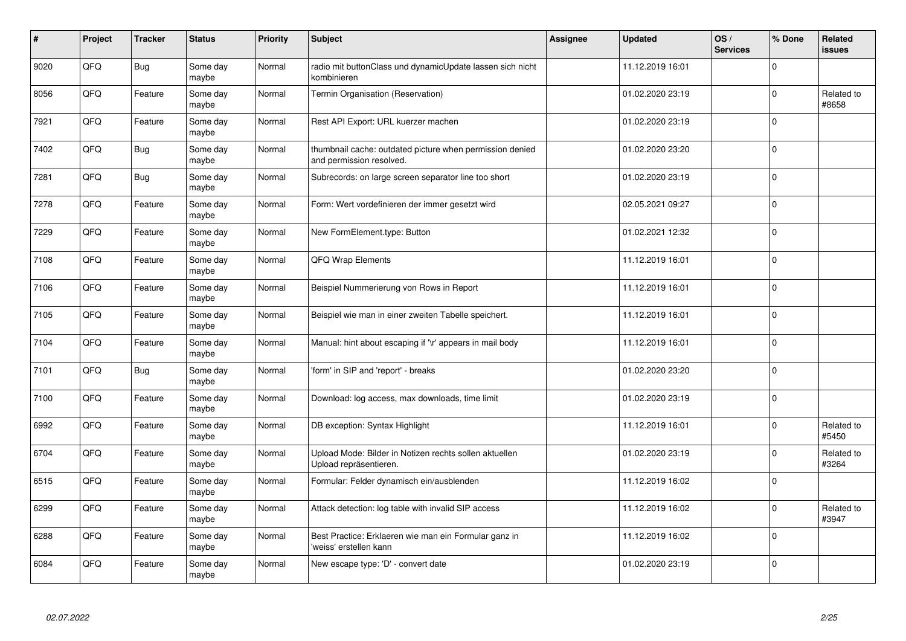| $\vert$ # | Project | <b>Tracker</b> | <b>Status</b>     | <b>Priority</b> | <b>Subject</b>                                                                       | Assignee | <b>Updated</b>   | OS/<br><b>Services</b> | % Done      | Related<br><b>issues</b> |
|-----------|---------|----------------|-------------------|-----------------|--------------------------------------------------------------------------------------|----------|------------------|------------------------|-------------|--------------------------|
| 9020      | QFQ     | <b>Bug</b>     | Some day<br>maybe | Normal          | radio mit buttonClass und dynamicUpdate lassen sich nicht<br>kombinieren             |          | 11.12.2019 16:01 |                        | $\Omega$    |                          |
| 8056      | QFQ     | Feature        | Some day<br>maybe | Normal          | Termin Organisation (Reservation)                                                    |          | 01.02.2020 23:19 |                        | $\Omega$    | Related to<br>#8658      |
| 7921      | QFQ     | Feature        | Some day<br>maybe | Normal          | Rest API Export: URL kuerzer machen                                                  |          | 01.02.2020 23:19 |                        | $\Omega$    |                          |
| 7402      | QFQ     | <b>Bug</b>     | Some day<br>maybe | Normal          | thumbnail cache: outdated picture when permission denied<br>and permission resolved. |          | 01.02.2020 23:20 |                        | $\Omega$    |                          |
| 7281      | QFQ     | <b>Bug</b>     | Some day<br>maybe | Normal          | Subrecords: on large screen separator line too short                                 |          | 01.02.2020 23:19 |                        | $\Omega$    |                          |
| 7278      | QFQ     | Feature        | Some day<br>maybe | Normal          | Form: Wert vordefinieren der immer gesetzt wird                                      |          | 02.05.2021 09:27 |                        | $\Omega$    |                          |
| 7229      | QFQ     | Feature        | Some day<br>maybe | Normal          | New FormElement.type: Button                                                         |          | 01.02.2021 12:32 |                        | $\mathbf 0$ |                          |
| 7108      | QFQ     | Feature        | Some day<br>maybe | Normal          | QFQ Wrap Elements                                                                    |          | 11.12.2019 16:01 |                        | $\Omega$    |                          |
| 7106      | QFQ     | Feature        | Some day<br>maybe | Normal          | Beispiel Nummerierung von Rows in Report                                             |          | 11.12.2019 16:01 |                        | $\Omega$    |                          |
| 7105      | QFQ     | Feature        | Some day<br>maybe | Normal          | Beispiel wie man in einer zweiten Tabelle speichert.                                 |          | 11.12.2019 16:01 |                        | $\mathbf 0$ |                          |
| 7104      | QFQ     | Feature        | Some day<br>maybe | Normal          | Manual: hint about escaping if '\r' appears in mail body                             |          | 11.12.2019 16:01 |                        | $\Omega$    |                          |
| 7101      | QFQ     | <b>Bug</b>     | Some day<br>maybe | Normal          | 'form' in SIP and 'report' - breaks                                                  |          | 01.02.2020 23:20 |                        | $\Omega$    |                          |
| 7100      | QFQ     | Feature        | Some day<br>maybe | Normal          | Download: log access, max downloads, time limit                                      |          | 01.02.2020 23:19 |                        | $\mathbf 0$ |                          |
| 6992      | QFQ     | Feature        | Some day<br>maybe | Normal          | DB exception: Syntax Highlight                                                       |          | 11.12.2019 16:01 |                        | 0           | Related to<br>#5450      |
| 6704      | QFQ     | Feature        | Some day<br>maybe | Normal          | Upload Mode: Bilder in Notizen rechts sollen aktuellen<br>Upload repräsentieren.     |          | 01.02.2020 23:19 |                        | $\Omega$    | Related to<br>#3264      |
| 6515      | QFQ     | Feature        | Some day<br>maybe | Normal          | Formular: Felder dynamisch ein/ausblenden                                            |          | 11.12.2019 16:02 |                        | $\Omega$    |                          |
| 6299      | QFQ     | Feature        | Some day<br>maybe | Normal          | Attack detection: log table with invalid SIP access                                  |          | 11.12.2019 16:02 |                        | $\Omega$    | Related to<br>#3947      |
| 6288      | QFQ     | Feature        | Some day<br>maybe | Normal          | Best Practice: Erklaeren wie man ein Formular ganz in<br>'weiss' erstellen kann      |          | 11.12.2019 16:02 |                        | $\Omega$    |                          |
| 6084      | QFQ     | Feature        | Some day<br>maybe | Normal          | New escape type: 'D' - convert date                                                  |          | 01.02.2020 23:19 |                        | $\Omega$    |                          |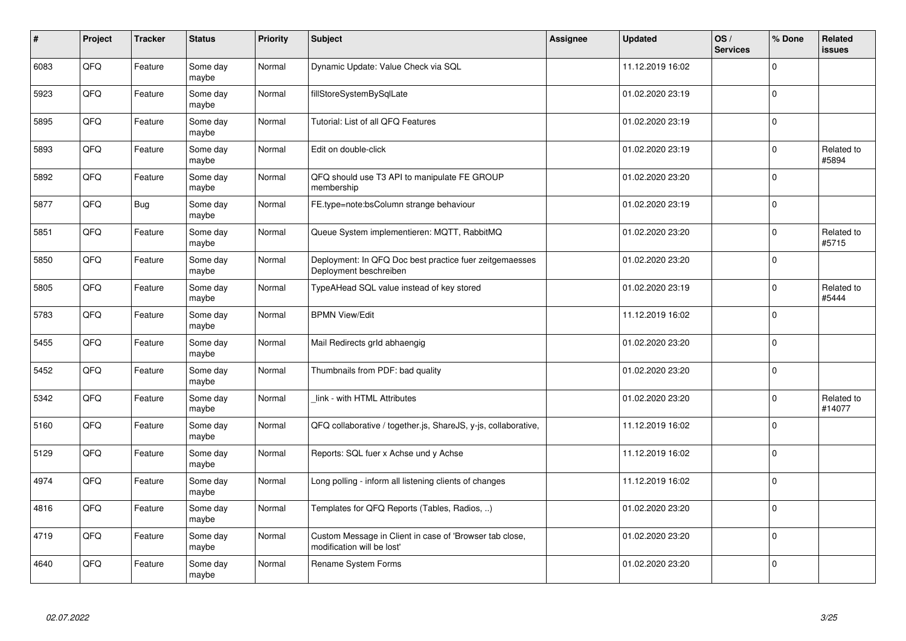| $\vert$ # | Project | <b>Tracker</b> | <b>Status</b>     | <b>Priority</b> | <b>Subject</b>                                                                        | Assignee | <b>Updated</b>   | OS/<br><b>Services</b> | % Done       | Related<br>issues    |
|-----------|---------|----------------|-------------------|-----------------|---------------------------------------------------------------------------------------|----------|------------------|------------------------|--------------|----------------------|
| 6083      | QFQ     | Feature        | Some day<br>maybe | Normal          | Dynamic Update: Value Check via SQL                                                   |          | 11.12.2019 16:02 |                        | $\Omega$     |                      |
| 5923      | QFQ     | Feature        | Some day<br>maybe | Normal          | fillStoreSystemBySqlLate                                                              |          | 01.02.2020 23:19 |                        | $\Omega$     |                      |
| 5895      | QFQ     | Feature        | Some day<br>maybe | Normal          | Tutorial: List of all QFQ Features                                                    |          | 01.02.2020 23:19 |                        | l 0          |                      |
| 5893      | QFQ     | Feature        | Some day<br>maybe | Normal          | Edit on double-click                                                                  |          | 01.02.2020 23:19 |                        | $\Omega$     | Related to<br>#5894  |
| 5892      | QFQ     | Feature        | Some day<br>maybe | Normal          | QFQ should use T3 API to manipulate FE GROUP<br>membership                            |          | 01.02.2020 23:20 |                        | l 0          |                      |
| 5877      | QFQ     | Bug            | Some day<br>maybe | Normal          | FE.type=note:bsColumn strange behaviour                                               |          | 01.02.2020 23:19 |                        | 0 I          |                      |
| 5851      | QFQ     | Feature        | Some day<br>maybe | Normal          | Queue System implementieren: MQTT, RabbitMQ                                           |          | 01.02.2020 23:20 |                        | $\Omega$     | Related to<br>#5715  |
| 5850      | QFQ     | Feature        | Some day<br>maybe | Normal          | Deployment: In QFQ Doc best practice fuer zeitgemaesses<br>Deployment beschreiben     |          | 01.02.2020 23:20 |                        | $\Omega$     |                      |
| 5805      | QFQ     | Feature        | Some day<br>maybe | Normal          | TypeAHead SQL value instead of key stored                                             |          | 01.02.2020 23:19 |                        | $\Omega$     | Related to<br>#5444  |
| 5783      | QFQ     | Feature        | Some day<br>maybe | Normal          | <b>BPMN View/Edit</b>                                                                 |          | 11.12.2019 16:02 |                        | $\Omega$     |                      |
| 5455      | QFQ     | Feature        | Some day<br>maybe | Normal          | Mail Redirects grld abhaengig                                                         |          | 01.02.2020 23:20 |                        | $\mathbf 0$  |                      |
| 5452      | QFQ     | Feature        | Some day<br>maybe | Normal          | Thumbnails from PDF: bad quality                                                      |          | 01.02.2020 23:20 |                        | $\mathbf 0$  |                      |
| 5342      | QFQ     | Feature        | Some day<br>maybe | Normal          | link - with HTML Attributes                                                           |          | 01.02.2020 23:20 |                        | $\mathbf{0}$ | Related to<br>#14077 |
| 5160      | QFQ     | Feature        | Some day<br>maybe | Normal          | QFQ collaborative / together.js, ShareJS, y-js, collaborative,                        |          | 11.12.2019 16:02 |                        | $\mathbf 0$  |                      |
| 5129      | QFQ     | Feature        | Some day<br>maybe | Normal          | Reports: SQL fuer x Achse und y Achse                                                 |          | 11.12.2019 16:02 |                        | $\Omega$     |                      |
| 4974      | QFQ     | Feature        | Some day<br>maybe | Normal          | Long polling - inform all listening clients of changes                                |          | 11.12.2019 16:02 |                        | $\Omega$     |                      |
| 4816      | QFQ     | Feature        | Some day<br>maybe | Normal          | Templates for QFQ Reports (Tables, Radios, )                                          |          | 01.02.2020 23:20 |                        | $\Omega$     |                      |
| 4719      | QFQ     | Feature        | Some day<br>maybe | Normal          | Custom Message in Client in case of 'Browser tab close,<br>modification will be lost' |          | 01.02.2020 23:20 |                        | $\mathbf 0$  |                      |
| 4640      | QFQ     | Feature        | Some day<br>maybe | Normal          | Rename System Forms                                                                   |          | 01.02.2020 23:20 |                        | $\Omega$     |                      |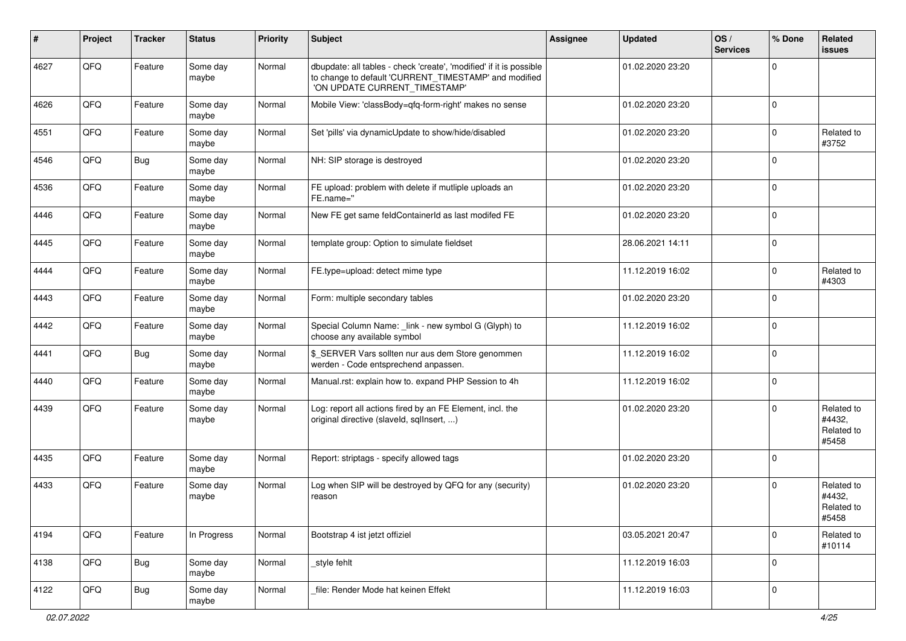| ∦    | Project | <b>Tracker</b> | <b>Status</b>     | <b>Priority</b> | Subject                                                                                                                                                       | <b>Assignee</b> | <b>Updated</b>   | OS/<br><b>Services</b> | % Done      | Related<br><b>issues</b>                    |
|------|---------|----------------|-------------------|-----------------|---------------------------------------------------------------------------------------------------------------------------------------------------------------|-----------------|------------------|------------------------|-------------|---------------------------------------------|
| 4627 | QFQ     | Feature        | Some day<br>maybe | Normal          | dbupdate: all tables - check 'create', 'modified' if it is possible<br>to change to default 'CURRENT_TIMESTAMP' and modified<br>'ON UPDATE CURRENT_TIMESTAMP' |                 | 01.02.2020 23:20 |                        | $\mathbf 0$ |                                             |
| 4626 | QFQ     | Feature        | Some day<br>maybe | Normal          | Mobile View: 'classBody=qfq-form-right' makes no sense                                                                                                        |                 | 01.02.2020 23:20 |                        | $\mathbf 0$ |                                             |
| 4551 | QFQ     | Feature        | Some day<br>maybe | Normal          | Set 'pills' via dynamicUpdate to show/hide/disabled                                                                                                           |                 | 01.02.2020 23:20 |                        | $\mathbf 0$ | Related to<br>#3752                         |
| 4546 | QFQ     | <b>Bug</b>     | Some day<br>maybe | Normal          | NH: SIP storage is destroyed                                                                                                                                  |                 | 01.02.2020 23:20 |                        | $\Omega$    |                                             |
| 4536 | QFQ     | Feature        | Some day<br>maybe | Normal          | FE upload: problem with delete if mutliple uploads an<br>FE.name="                                                                                            |                 | 01.02.2020 23:20 |                        | $\mathbf 0$ |                                             |
| 4446 | QFQ     | Feature        | Some day<br>maybe | Normal          | New FE get same feldContainerId as last modifed FE                                                                                                            |                 | 01.02.2020 23:20 |                        | $\mathbf 0$ |                                             |
| 4445 | QFQ     | Feature        | Some day<br>maybe | Normal          | template group: Option to simulate fieldset                                                                                                                   |                 | 28.06.2021 14:11 |                        | $\Omega$    |                                             |
| 4444 | QFQ     | Feature        | Some day<br>maybe | Normal          | FE.type=upload: detect mime type                                                                                                                              |                 | 11.12.2019 16:02 |                        | $\mathbf 0$ | Related to<br>#4303                         |
| 4443 | QFQ     | Feature        | Some day<br>maybe | Normal          | Form: multiple secondary tables                                                                                                                               |                 | 01.02.2020 23:20 |                        | $\mathbf 0$ |                                             |
| 4442 | QFQ     | Feature        | Some day<br>maybe | Normal          | Special Column Name: _link - new symbol G (Glyph) to<br>choose any available symbol                                                                           |                 | 11.12.2019 16:02 |                        | 0           |                                             |
| 4441 | QFQ     | Bug            | Some day<br>maybe | Normal          | \$_SERVER Vars sollten nur aus dem Store genommen<br>werden - Code entsprechend anpassen.                                                                     |                 | 11.12.2019 16:02 |                        | $\Omega$    |                                             |
| 4440 | QFQ     | Feature        | Some day<br>maybe | Normal          | Manual.rst: explain how to. expand PHP Session to 4h                                                                                                          |                 | 11.12.2019 16:02 |                        | $\mathbf 0$ |                                             |
| 4439 | QFQ     | Feature        | Some day<br>maybe | Normal          | Log: report all actions fired by an FE Element, incl. the<br>original directive (slaveld, sqllnsert, )                                                        |                 | 01.02.2020 23:20 |                        | $\Omega$    | Related to<br>#4432,<br>Related to<br>#5458 |
| 4435 | QFQ     | Feature        | Some day<br>maybe | Normal          | Report: striptags - specify allowed tags                                                                                                                      |                 | 01.02.2020 23:20 |                        | $\Omega$    |                                             |
| 4433 | QFQ     | Feature        | Some day<br>maybe | Normal          | Log when SIP will be destroyed by QFQ for any (security)<br>reason                                                                                            |                 | 01.02.2020 23:20 |                        | $\Omega$    | Related to<br>#4432,<br>Related to<br>#5458 |
| 4194 | QFQ     | Feature        | In Progress       | Normal          | Bootstrap 4 ist jetzt offiziel                                                                                                                                |                 | 03.05.2021 20:47 |                        | $\mathbf 0$ | Related to<br>#10114                        |
| 4138 | QFQ     | <b>Bug</b>     | Some day<br>maybe | Normal          | style fehlt                                                                                                                                                   |                 | 11.12.2019 16:03 |                        | 0           |                                             |
| 4122 | QFQ     | <b>Bug</b>     | Some day<br>maybe | Normal          | file: Render Mode hat keinen Effekt                                                                                                                           |                 | 11.12.2019 16:03 |                        | 0           |                                             |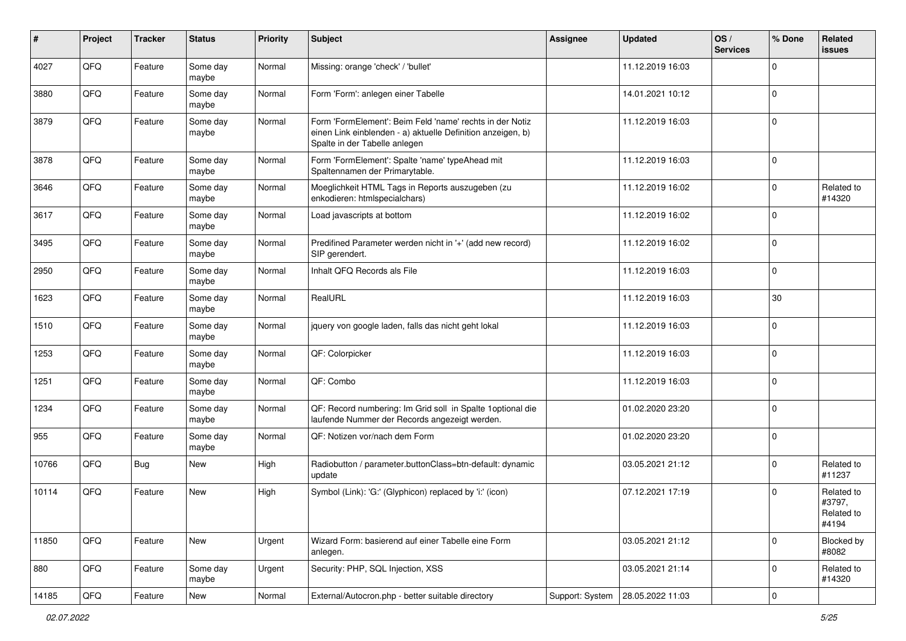| $\sharp$ | Project | <b>Tracker</b> | <b>Status</b>     | <b>Priority</b> | <b>Subject</b>                                                                                                                                           | Assignee        | <b>Updated</b>   | OS/<br><b>Services</b> | % Done      | Related<br><b>issues</b>                    |
|----------|---------|----------------|-------------------|-----------------|----------------------------------------------------------------------------------------------------------------------------------------------------------|-----------------|------------------|------------------------|-------------|---------------------------------------------|
| 4027     | QFQ     | Feature        | Some day<br>maybe | Normal          | Missing: orange 'check' / 'bullet'                                                                                                                       |                 | 11.12.2019 16:03 |                        | $\Omega$    |                                             |
| 3880     | QFQ     | Feature        | Some day<br>maybe | Normal          | Form 'Form': anlegen einer Tabelle                                                                                                                       |                 | 14.01.2021 10:12 |                        | 0           |                                             |
| 3879     | QFQ     | Feature        | Some day<br>maybe | Normal          | Form 'FormElement': Beim Feld 'name' rechts in der Notiz<br>einen Link einblenden - a) aktuelle Definition anzeigen, b)<br>Spalte in der Tabelle anlegen |                 | 11.12.2019 16:03 |                        | $\mathbf 0$ |                                             |
| 3878     | QFQ     | Feature        | Some day<br>maybe | Normal          | Form 'FormElement': Spalte 'name' typeAhead mit<br>Spaltennamen der Primarytable.                                                                        |                 | 11.12.2019 16:03 |                        | $\mathbf 0$ |                                             |
| 3646     | QFQ     | Feature        | Some day<br>maybe | Normal          | Moeglichkeit HTML Tags in Reports auszugeben (zu<br>enkodieren: htmlspecialchars)                                                                        |                 | 11.12.2019 16:02 |                        | $\mathbf 0$ | Related to<br>#14320                        |
| 3617     | QFQ     | Feature        | Some day<br>maybe | Normal          | Load javascripts at bottom                                                                                                                               |                 | 11.12.2019 16:02 |                        | $\mathbf 0$ |                                             |
| 3495     | QFQ     | Feature        | Some day<br>maybe | Normal          | Predifined Parameter werden nicht in '+' (add new record)<br>SIP gerendert.                                                                              |                 | 11.12.2019 16:02 |                        | $\mathbf 0$ |                                             |
| 2950     | QFQ     | Feature        | Some day<br>maybe | Normal          | Inhalt QFQ Records als File                                                                                                                              |                 | 11.12.2019 16:03 |                        | $\mathbf 0$ |                                             |
| 1623     | QFQ     | Feature        | Some day<br>maybe | Normal          | RealURL                                                                                                                                                  |                 | 11.12.2019 16:03 |                        | 30          |                                             |
| 1510     | QFQ     | Feature        | Some day<br>maybe | Normal          | jquery von google laden, falls das nicht geht lokal                                                                                                      |                 | 11.12.2019 16:03 |                        | $\mathbf 0$ |                                             |
| 1253     | QFQ     | Feature        | Some day<br>maybe | Normal          | QF: Colorpicker                                                                                                                                          |                 | 11.12.2019 16:03 |                        | $\mathbf 0$ |                                             |
| 1251     | QFQ     | Feature        | Some day<br>maybe | Normal          | QF: Combo                                                                                                                                                |                 | 11.12.2019 16:03 |                        | $\Omega$    |                                             |
| 1234     | QFQ     | Feature        | Some day<br>maybe | Normal          | QF: Record numbering: Im Grid soll in Spalte 1 optional die<br>laufende Nummer der Records angezeigt werden.                                             |                 | 01.02.2020 23:20 |                        | $\mathbf 0$ |                                             |
| 955      | QFQ     | Feature        | Some day<br>maybe | Normal          | QF: Notizen vor/nach dem Form                                                                                                                            |                 | 01.02.2020 23:20 |                        | $\mathbf 0$ |                                             |
| 10766    | QFQ     | Bug            | New               | <b>High</b>     | Radiobutton / parameter.buttonClass=btn-default: dynamic<br>update                                                                                       |                 | 03.05.2021 21:12 |                        | $\Omega$    | Related to<br>#11237                        |
| 10114    | QFQ     | Feature        | New               | High            | Symbol (Link): 'G:' (Glyphicon) replaced by 'i:' (icon)                                                                                                  |                 | 07.12.2021 17:19 |                        | $\Omega$    | Related to<br>#3797,<br>Related to<br>#4194 |
| 11850    | QFG     | Feature        | New               | Urgent          | Wizard Form: basierend auf einer Tabelle eine Form<br>anlegen.                                                                                           |                 | 03.05.2021 21:12 |                        | $\mathbf 0$ | Blocked by<br>#8082                         |
| 880      | QFQ     | Feature        | Some day<br>maybe | Urgent          | Security: PHP, SQL Injection, XSS                                                                                                                        |                 | 03.05.2021 21:14 |                        | 0           | Related to<br>#14320                        |
| 14185    | QFQ     | Feature        | New               | Normal          | External/Autocron.php - better suitable directory                                                                                                        | Support: System | 28.05.2022 11:03 |                        | 0           |                                             |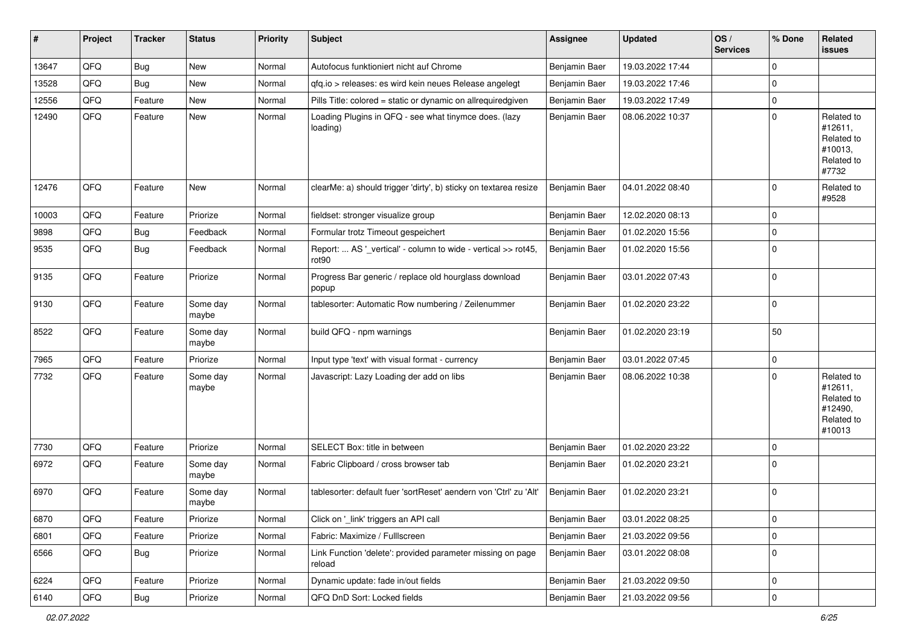| ∦     | Project | <b>Tracker</b> | <b>Status</b>     | <b>Priority</b> | Subject                                                                            | <b>Assignee</b> | <b>Updated</b>   | OS/<br><b>Services</b> | % Done      | Related<br>issues                                                      |
|-------|---------|----------------|-------------------|-----------------|------------------------------------------------------------------------------------|-----------------|------------------|------------------------|-------------|------------------------------------------------------------------------|
| 13647 | QFQ     | <b>Bug</b>     | <b>New</b>        | Normal          | Autofocus funktioniert nicht auf Chrome                                            | Benjamin Baer   | 19.03.2022 17:44 |                        | $\mathbf 0$ |                                                                        |
| 13528 | QFQ     | Bug            | <b>New</b>        | Normal          | gfg.io > releases: es wird kein neues Release angelegt                             | Benjamin Baer   | 19.03.2022 17:46 |                        | $\Omega$    |                                                                        |
| 12556 | QFQ     | Feature        | New               | Normal          | Pills Title: colored = static or dynamic on allrequiredgiven                       | Benjamin Baer   | 19.03.2022 17:49 |                        | 0           |                                                                        |
| 12490 | QFQ     | Feature        | <b>New</b>        | Normal          | Loading Plugins in QFQ - see what tinymce does. (lazy<br>loading)                  | Benjamin Baer   | 08.06.2022 10:37 |                        | $\mathbf 0$ | Related to<br>#12611,<br>Related to<br>#10013,<br>Related to<br>#7732  |
| 12476 | QFQ     | Feature        | <b>New</b>        | Normal          | clearMe: a) should trigger 'dirty', b) sticky on textarea resize                   | Benjamin Baer   | 04.01.2022 08:40 |                        | $\Omega$    | Related to<br>#9528                                                    |
| 10003 | QFQ     | Feature        | Priorize          | Normal          | fieldset: stronger visualize group                                                 | Benjamin Baer   | 12.02.2020 08:13 |                        | $\Omega$    |                                                                        |
| 9898  | QFQ     | <b>Bug</b>     | Feedback          | Normal          | Formular trotz Timeout gespeichert                                                 | Benjamin Baer   | 01.02.2020 15:56 |                        | $\mathbf 0$ |                                                                        |
| 9535  | QFQ     | <b>Bug</b>     | Feedback          | Normal          | Report:  AS '_vertical' - column to wide - vertical >> rot45,<br>rot <sub>90</sub> | Benjamin Baer   | 01.02.2020 15:56 |                        | $\mathbf 0$ |                                                                        |
| 9135  | QFQ     | Feature        | Priorize          | Normal          | Progress Bar generic / replace old hourglass download<br>popup                     | Benjamin Baer   | 03.01.2022 07:43 |                        | $\Omega$    |                                                                        |
| 9130  | QFQ     | Feature        | Some day<br>maybe | Normal          | tablesorter: Automatic Row numbering / Zeilenummer                                 | Benjamin Baer   | 01.02.2020 23:22 |                        | $\mathbf 0$ |                                                                        |
| 8522  | QFQ     | Feature        | Some day<br>maybe | Normal          | build QFQ - npm warnings                                                           | Benjamin Baer   | 01.02.2020 23:19 |                        | 50          |                                                                        |
| 7965  | QFQ     | Feature        | Priorize          | Normal          | Input type 'text' with visual format - currency                                    | Benjamin Baer   | 03.01.2022 07:45 |                        | $\Omega$    |                                                                        |
| 7732  | QFQ     | Feature        | Some day<br>maybe | Normal          | Javascript: Lazy Loading der add on libs                                           | Benjamin Baer   | 08.06.2022 10:38 |                        | $\Omega$    | Related to<br>#12611,<br>Related to<br>#12490,<br>Related to<br>#10013 |
| 7730  | QFQ     | Feature        | Priorize          | Normal          | SELECT Box: title in between                                                       | Benjamin Baer   | 01.02.2020 23:22 |                        | $\mathbf 0$ |                                                                        |
| 6972  | QFQ     | Feature        | Some day<br>maybe | Normal          | Fabric Clipboard / cross browser tab                                               | Benjamin Baer   | 01.02.2020 23:21 |                        | $\Omega$    |                                                                        |
| 6970  | QFQ     | Feature        | Some day<br>maybe | Normal          | tablesorter: default fuer 'sortReset' aendern von 'Ctrl' zu 'Alt'                  | Benjamin Baer   | 01.02.2020 23:21 |                        | 0           |                                                                        |
| 6870  | QFQ     | Feature        | Priorize          | Normal          | Click on '_link' triggers an API call                                              | Benjamin Baer   | 03.01.2022 08:25 |                        | $\vert$ 0   |                                                                        |
| 6801  | QFQ     | Feature        | Priorize          | Normal          | Fabric: Maximize / FullIscreen                                                     | Benjamin Baer   | 21.03.2022 09:56 |                        | 0           |                                                                        |
| 6566  | QFQ     | <b>Bug</b>     | Priorize          | Normal          | Link Function 'delete': provided parameter missing on page<br>reload               | Benjamin Baer   | 03.01.2022 08:08 |                        | 0           |                                                                        |
| 6224  | QFQ     | Feature        | Priorize          | Normal          | Dynamic update: fade in/out fields                                                 | Benjamin Baer   | 21.03.2022 09:50 |                        | 0           |                                                                        |
| 6140  | QFG     | Bug            | Priorize          | Normal          | QFQ DnD Sort: Locked fields                                                        | Benjamin Baer   | 21.03.2022 09:56 |                        | 0           |                                                                        |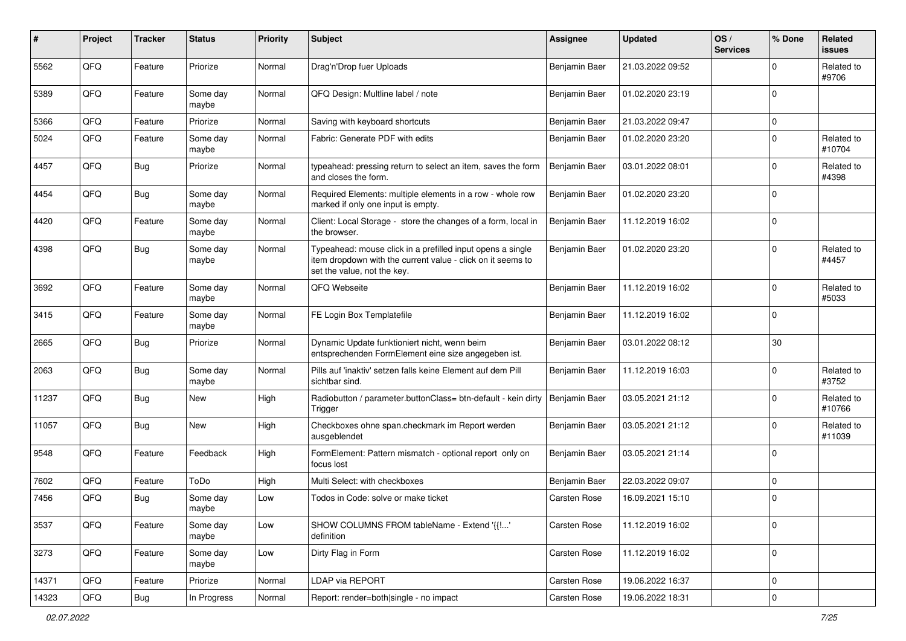| #     | Project | <b>Tracker</b> | <b>Status</b>     | <b>Priority</b> | <b>Subject</b>                                                                                                                                           | Assignee            | <b>Updated</b>   | OS/<br><b>Services</b> | % Done      | <b>Related</b><br><b>issues</b> |
|-------|---------|----------------|-------------------|-----------------|----------------------------------------------------------------------------------------------------------------------------------------------------------|---------------------|------------------|------------------------|-------------|---------------------------------|
| 5562  | QFQ     | Feature        | Priorize          | Normal          | Drag'n'Drop fuer Uploads                                                                                                                                 | Benjamin Baer       | 21.03.2022 09:52 |                        | $\Omega$    | Related to<br>#9706             |
| 5389  | QFQ     | Feature        | Some day<br>maybe | Normal          | QFQ Design: Multline label / note                                                                                                                        | Benjamin Baer       | 01.02.2020 23:19 |                        | $\mathbf 0$ |                                 |
| 5366  | QFQ     | Feature        | Priorize          | Normal          | Saving with keyboard shortcuts                                                                                                                           | Benjamin Baer       | 21.03.2022 09:47 |                        | $\mathbf 0$ |                                 |
| 5024  | QFQ     | Feature        | Some day<br>maybe | Normal          | Fabric: Generate PDF with edits                                                                                                                          | Benjamin Baer       | 01.02.2020 23:20 |                        | $\Omega$    | Related to<br>#10704            |
| 4457  | QFQ     | <b>Bug</b>     | Priorize          | Normal          | typeahead: pressing return to select an item, saves the form<br>and closes the form.                                                                     | Benjamin Baer       | 03.01.2022 08:01 |                        | $\Omega$    | Related to<br>#4398             |
| 4454  | QFQ     | <b>Bug</b>     | Some day<br>maybe | Normal          | Required Elements: multiple elements in a row - whole row<br>marked if only one input is empty.                                                          | Benjamin Baer       | 01.02.2020 23:20 |                        | $\mathbf 0$ |                                 |
| 4420  | QFQ     | Feature        | Some day<br>maybe | Normal          | Client: Local Storage - store the changes of a form, local in<br>the browser.                                                                            | Benjamin Baer       | 11.12.2019 16:02 |                        | 0           |                                 |
| 4398  | QFQ     | Bug            | Some day<br>maybe | Normal          | Typeahead: mouse click in a prefilled input opens a single<br>item dropdown with the current value - click on it seems to<br>set the value, not the key. | Benjamin Baer       | 01.02.2020 23:20 |                        | $\Omega$    | Related to<br>#4457             |
| 3692  | QFQ     | Feature        | Some day<br>maybe | Normal          | QFQ Webseite                                                                                                                                             | Benjamin Baer       | 11.12.2019 16:02 |                        | $\mathbf 0$ | Related to<br>#5033             |
| 3415  | QFQ     | Feature        | Some day<br>maybe | Normal          | FE Login Box Templatefile                                                                                                                                | Benjamin Baer       | 11.12.2019 16:02 |                        | $\mathbf 0$ |                                 |
| 2665  | QFQ     | Bug            | Priorize          | Normal          | Dynamic Update funktioniert nicht, wenn beim<br>entsprechenden FormElement eine size angegeben ist.                                                      | Benjamin Baer       | 03.01.2022 08:12 |                        | 30          |                                 |
| 2063  | QFQ     | <b>Bug</b>     | Some day<br>maybe | Normal          | Pills auf 'inaktiv' setzen falls keine Element auf dem Pill<br>sichtbar sind.                                                                            | Benjamin Baer       | 11.12.2019 16:03 |                        | $\Omega$    | Related to<br>#3752             |
| 11237 | QFQ     | Bug            | New               | High            | Radiobutton / parameter.buttonClass= btn-default - kein dirty<br>Trigger                                                                                 | Benjamin Baer       | 03.05.2021 21:12 |                        | $\mathbf 0$ | Related to<br>#10766            |
| 11057 | QFQ     | <b>Bug</b>     | New               | High            | Checkboxes ohne span.checkmark im Report werden<br>ausgeblendet                                                                                          | Benjamin Baer       | 03.05.2021 21:12 |                        | $\Omega$    | Related to<br>#11039            |
| 9548  | QFQ     | Feature        | Feedback          | High            | FormElement: Pattern mismatch - optional report only on<br>focus lost                                                                                    | Benjamin Baer       | 03.05.2021 21:14 |                        | $\mathbf 0$ |                                 |
| 7602  | QFQ     | Feature        | ToDo              | High            | Multi Select: with checkboxes                                                                                                                            | Benjamin Baer       | 22.03.2022 09:07 |                        | $\mathbf 0$ |                                 |
| 7456  | QFQ     | Bug            | Some day<br>maybe | Low             | Todos in Code: solve or make ticket                                                                                                                      | <b>Carsten Rose</b> | 16.09.2021 15:10 |                        | $\Omega$    |                                 |
| 3537  | QFQ     | Feature        | Some day<br>maybe | Low             | SHOW COLUMNS FROM tableName - Extend '{{'<br>definition                                                                                                  | Carsten Rose        | 11.12.2019 16:02 |                        | 0           |                                 |
| 3273  | QFQ     | Feature        | Some day<br>maybe | Low             | Dirty Flag in Form                                                                                                                                       | Carsten Rose        | 11.12.2019 16:02 |                        | 0           |                                 |
| 14371 | QFQ     | Feature        | Priorize          | Normal          | <b>LDAP via REPORT</b>                                                                                                                                   | Carsten Rose        | 19.06.2022 16:37 |                        | 0           |                                 |
| 14323 | QFG     | <b>Bug</b>     | In Progress       | Normal          | Report: render=both single - no impact                                                                                                                   | Carsten Rose        | 19.06.2022 18:31 |                        | 0           |                                 |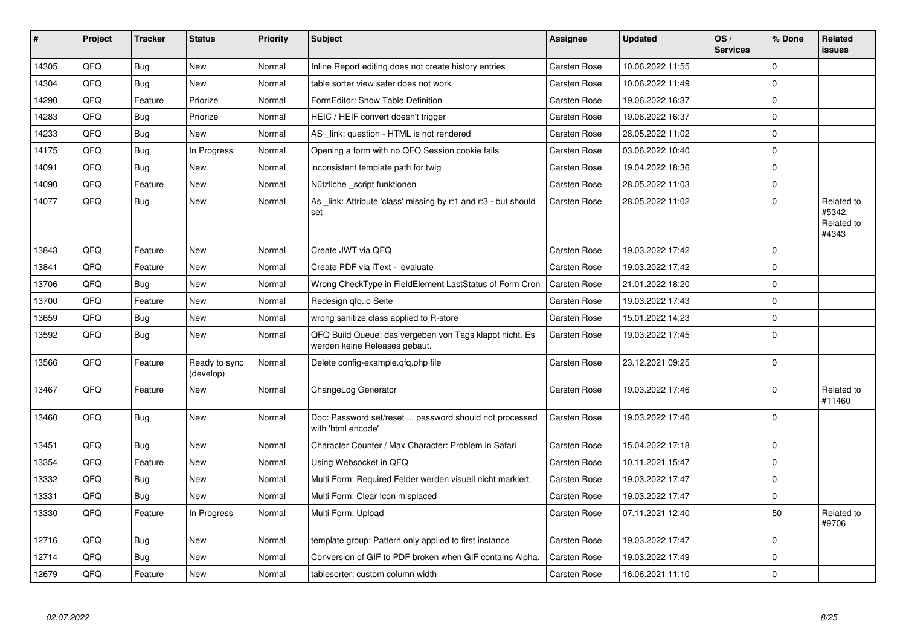| #     | Project | <b>Tracker</b> | <b>Status</b>              | <b>Priority</b> | <b>Subject</b>                                                                           | <b>Assignee</b>     | <b>Updated</b>   | OS/<br><b>Services</b> | % Done         | Related<br>issues                           |
|-------|---------|----------------|----------------------------|-----------------|------------------------------------------------------------------------------------------|---------------------|------------------|------------------------|----------------|---------------------------------------------|
| 14305 | QFQ     | Bug            | <b>New</b>                 | Normal          | Inline Report editing does not create history entries                                    | Carsten Rose        | 10.06.2022 11:55 |                        | $\Omega$       |                                             |
| 14304 | QFQ     | Bug            | <b>New</b>                 | Normal          | table sorter view safer does not work                                                    | <b>Carsten Rose</b> | 10.06.2022 11:49 |                        | $\Omega$       |                                             |
| 14290 | QFQ     | Feature        | Priorize                   | Normal          | FormEditor: Show Table Definition                                                        | <b>Carsten Rose</b> | 19.06.2022 16:37 |                        | $\Omega$       |                                             |
| 14283 | QFQ     | <b>Bug</b>     | Priorize                   | Normal          | HEIC / HEIF convert doesn't trigger                                                      | <b>Carsten Rose</b> | 19.06.2022 16:37 |                        | 0              |                                             |
| 14233 | QFQ     | <b>Bug</b>     | New                        | Normal          | AS link: question - HTML is not rendered                                                 | Carsten Rose        | 28.05.2022 11:02 |                        | $\Omega$       |                                             |
| 14175 | QFQ     | <b>Bug</b>     | In Progress                | Normal          | Opening a form with no QFQ Session cookie fails                                          | <b>Carsten Rose</b> | 03.06.2022 10:40 |                        | $\Omega$       |                                             |
| 14091 | QFQ     | Bug            | New                        | Normal          | inconsistent template path for twig                                                      | <b>Carsten Rose</b> | 19.04.2022 18:36 |                        | $\Omega$       |                                             |
| 14090 | QFQ     | Feature        | New                        | Normal          | Nützliche _script funktionen                                                             | <b>Carsten Rose</b> | 28.05.2022 11:03 |                        | $\Omega$       |                                             |
| 14077 | QFQ     | Bug            | <b>New</b>                 | Normal          | As link: Attribute 'class' missing by r:1 and r:3 - but should<br>set                    | Carsten Rose        | 28.05.2022 11:02 |                        | $\Omega$       | Related to<br>#5342,<br>Related to<br>#4343 |
| 13843 | QFQ     | Feature        | <b>New</b>                 | Normal          | Create JWT via QFQ                                                                       | <b>Carsten Rose</b> | 19.03.2022 17:42 |                        | $\overline{0}$ |                                             |
| 13841 | QFQ     | Feature        | New                        | Normal          | Create PDF via iText - evaluate                                                          | <b>Carsten Rose</b> | 19.03.2022 17:42 |                        | $\Omega$       |                                             |
| 13706 | QFQ     | Bug            | <b>New</b>                 | Normal          | Wrong CheckType in FieldElement LastStatus of Form Cron                                  | <b>Carsten Rose</b> | 21.01.2022 18:20 |                        | $\Omega$       |                                             |
| 13700 | QFQ     | Feature        | <b>New</b>                 | Normal          | Redesign qfq.io Seite                                                                    | <b>Carsten Rose</b> | 19.03.2022 17:43 |                        | $\Omega$       |                                             |
| 13659 | QFQ     | Bug            | New                        | Normal          | wrong sanitize class applied to R-store                                                  | <b>Carsten Rose</b> | 15.01.2022 14:23 |                        | $\mathbf 0$    |                                             |
| 13592 | QFQ     | Bug            | <b>New</b>                 | Normal          | QFQ Build Queue: das vergeben von Tags klappt nicht. Es<br>werden keine Releases gebaut. | <b>Carsten Rose</b> | 19.03.2022 17:45 |                        | $\overline{0}$ |                                             |
| 13566 | QFQ     | Feature        | Ready to sync<br>(develop) | Normal          | Delete config-example.gfg.php file                                                       | <b>Carsten Rose</b> | 23.12.2021 09:25 |                        | $\Omega$       |                                             |
| 13467 | QFQ     | Feature        | New                        | Normal          | ChangeLog Generator                                                                      | <b>Carsten Rose</b> | 19.03.2022 17:46 |                        | $\Omega$       | Related to<br>#11460                        |
| 13460 | QFQ     | <b>Bug</b>     | New                        | Normal          | Doc: Password set/reset  password should not processed<br>with 'html encode'             | Carsten Rose        | 19.03.2022 17:46 |                        | $\overline{0}$ |                                             |
| 13451 | QFQ     | <b>Bug</b>     | <b>New</b>                 | Normal          | Character Counter / Max Character: Problem in Safari                                     | Carsten Rose        | 15.04.2022 17:18 |                        | $\Omega$       |                                             |
| 13354 | QFQ     | Feature        | <b>New</b>                 | Normal          | Using Websocket in QFQ                                                                   | <b>Carsten Rose</b> | 10.11.2021 15:47 |                        | $\Omega$       |                                             |
| 13332 | QFQ     | Bug            | <b>New</b>                 | Normal          | Multi Form: Required Felder werden visuell nicht markiert.                               | <b>Carsten Rose</b> | 19.03.2022 17:47 |                        | $\Omega$       |                                             |
| 13331 | QFQ     | Bug            | New                        | Normal          | Multi Form: Clear Icon misplaced                                                         | Carsten Rose        | 19.03.2022 17:47 |                        | $\mathbf 0$    |                                             |
| 13330 | QFQ     | Feature        | In Progress                | Normal          | Multi Form: Upload                                                                       | <b>Carsten Rose</b> | 07.11.2021 12:40 |                        | 50             | Related to<br>#9706                         |
| 12716 | QFQ     | Bug            | <b>New</b>                 | Normal          | template group: Pattern only applied to first instance                                   | Carsten Rose        | 19.03.2022 17:47 |                        | $\mathbf 0$    |                                             |
| 12714 | QFQ     | Bug            | <b>New</b>                 | Normal          | Conversion of GIF to PDF broken when GIF contains Alpha.                                 | <b>Carsten Rose</b> | 19.03.2022 17:49 |                        | $\mathbf 0$    |                                             |
| 12679 | QFQ     | Feature        | <b>New</b>                 | Normal          | tablesorter: custom column width                                                         | <b>Carsten Rose</b> | 16.06.2021 11:10 |                        | $\Omega$       |                                             |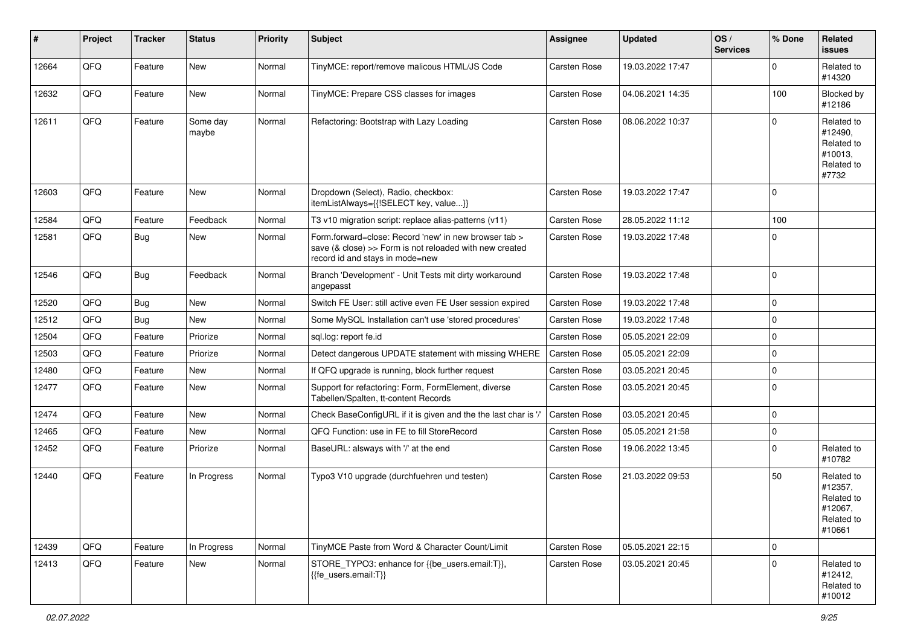| #     | Project | <b>Tracker</b> | <b>Status</b>     | <b>Priority</b> | <b>Subject</b>                                                                                                                                      | <b>Assignee</b>     | <b>Updated</b>   | OS/<br><b>Services</b> | % Done      | Related<br><b>issues</b>                                               |
|-------|---------|----------------|-------------------|-----------------|-----------------------------------------------------------------------------------------------------------------------------------------------------|---------------------|------------------|------------------------|-------------|------------------------------------------------------------------------|
| 12664 | QFQ     | Feature        | New               | Normal          | TinyMCE: report/remove malicous HTML/JS Code                                                                                                        | Carsten Rose        | 19.03.2022 17:47 |                        | 0           | Related to<br>#14320                                                   |
| 12632 | QFQ     | Feature        | New               | Normal          | TinyMCE: Prepare CSS classes for images                                                                                                             | Carsten Rose        | 04.06.2021 14:35 |                        | 100         | Blocked by<br>#12186                                                   |
| 12611 | QFQ     | Feature        | Some day<br>maybe | Normal          | Refactoring: Bootstrap with Lazy Loading                                                                                                            | <b>Carsten Rose</b> | 08.06.2022 10:37 |                        | $\Omega$    | Related to<br>#12490,<br>Related to<br>#10013,<br>Related to<br>#7732  |
| 12603 | QFQ     | Feature        | <b>New</b>        | Normal          | Dropdown (Select), Radio, checkbox:<br>itemListAlways={{!SELECT key, value}}                                                                        | Carsten Rose        | 19.03.2022 17:47 |                        | $\Omega$    |                                                                        |
| 12584 | QFQ     | Feature        | Feedback          | Normal          | T3 v10 migration script: replace alias-patterns (v11)                                                                                               | Carsten Rose        | 28.05.2022 11:12 |                        | 100         |                                                                        |
| 12581 | QFQ     | Bug            | New               | Normal          | Form.forward=close: Record 'new' in new browser tab ><br>save (& close) >> Form is not reloaded with new created<br>record id and stays in mode=new | <b>Carsten Rose</b> | 19.03.2022 17:48 |                        | $\mathbf 0$ |                                                                        |
| 12546 | QFQ     | <b>Bug</b>     | Feedback          | Normal          | Branch 'Development' - Unit Tests mit dirty workaround<br>angepasst                                                                                 | Carsten Rose        | 19.03.2022 17:48 |                        | 0           |                                                                        |
| 12520 | QFQ     | <b>Bug</b>     | New               | Normal          | Switch FE User: still active even FE User session expired                                                                                           | Carsten Rose        | 19.03.2022 17:48 |                        | $\Omega$    |                                                                        |
| 12512 | QFQ     | <b>Bug</b>     | <b>New</b>        | Normal          | Some MySQL Installation can't use 'stored procedures'                                                                                               | <b>Carsten Rose</b> | 19.03.2022 17:48 |                        | $\Omega$    |                                                                        |
| 12504 | QFQ     | Feature        | Priorize          | Normal          | sql.log: report fe.id                                                                                                                               | Carsten Rose        | 05.05.2021 22:09 |                        | $\mathbf 0$ |                                                                        |
| 12503 | QFQ     | Feature        | Priorize          | Normal          | Detect dangerous UPDATE statement with missing WHERE                                                                                                | <b>Carsten Rose</b> | 05.05.2021 22:09 |                        | $\Omega$    |                                                                        |
| 12480 | QFQ     | Feature        | New               | Normal          | If QFQ upgrade is running, block further request                                                                                                    | Carsten Rose        | 03.05.2021 20:45 |                        | $\mathbf 0$ |                                                                        |
| 12477 | QFQ     | Feature        | New               | Normal          | Support for refactoring: Form, FormElement, diverse<br>Tabellen/Spalten, tt-content Records                                                         | Carsten Rose        | 03.05.2021 20:45 |                        | $\Omega$    |                                                                        |
| 12474 | QFQ     | Feature        | <b>New</b>        | Normal          | Check BaseConfigURL if it is given and the the last char is '/                                                                                      | <b>Carsten Rose</b> | 03.05.2021 20:45 |                        | $\mathbf 0$ |                                                                        |
| 12465 | QFQ     | Feature        | New               | Normal          | QFQ Function: use in FE to fill StoreRecord                                                                                                         | Carsten Rose        | 05.05.2021 21:58 |                        | $\mathbf 0$ |                                                                        |
| 12452 | QFQ     | Feature        | Priorize          | Normal          | BaseURL: alsways with '/' at the end                                                                                                                | Carsten Rose        | 19.06.2022 13:45 |                        | $\Omega$    | Related to<br>#10782                                                   |
| 12440 | QFQ     | Feature        | In Progress       | Normal          | Typo3 V10 upgrade (durchfuehren und testen)                                                                                                         | Carsten Rose        | 21.03.2022 09:53 |                        | 50          | Related to<br>#12357,<br>Related to<br>#12067,<br>Related to<br>#10661 |
| 12439 | QFQ     | Feature        | In Progress       | Normal          | TinyMCE Paste from Word & Character Count/Limit                                                                                                     | Carsten Rose        | 05.05.2021 22:15 |                        | $\mathbf 0$ |                                                                        |
| 12413 | QFQ     | Feature        | New               | Normal          | STORE_TYPO3: enhance for {{be_users.email:T}},<br>{{fe_users.email:T}}                                                                              | Carsten Rose        | 03.05.2021 20:45 |                        | $\Omega$    | Related to<br>#12412,<br>Related to<br>#10012                          |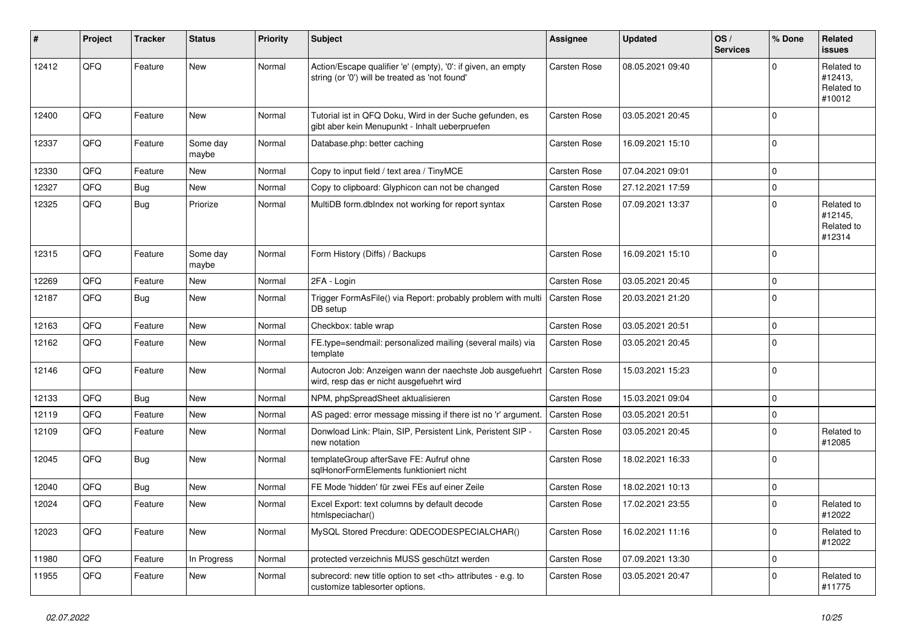| #     | Project | <b>Tracker</b> | <b>Status</b>     | <b>Priority</b> | <b>Subject</b>                                                                                                 | Assignee                                               | <b>Updated</b>   | OS/<br><b>Services</b> | % Done      | Related<br><b>issues</b>                      |                      |
|-------|---------|----------------|-------------------|-----------------|----------------------------------------------------------------------------------------------------------------|--------------------------------------------------------|------------------|------------------------|-------------|-----------------------------------------------|----------------------|
| 12412 | QFQ     | Feature        | <b>New</b>        | Normal          | Action/Escape qualifier 'e' (empty), '0': if given, an empty<br>string (or '0') will be treated as 'not found' | <b>Carsten Rose</b>                                    | 08.05.2021 09:40 |                        | O           | Related to<br>#12413,<br>Related to<br>#10012 |                      |
| 12400 | QFQ     | Feature        | <b>New</b>        | Normal          | Tutorial ist in QFQ Doku, Wird in der Suche gefunden, es<br>gibt aber kein Menupunkt - Inhalt ueberpruefen     | Carsten Rose                                           | 03.05.2021 20:45 |                        | $\Omega$    |                                               |                      |
| 12337 | QFQ     | Feature        | Some day<br>maybe | Normal          | Database.php: better caching                                                                                   | <b>Carsten Rose</b>                                    | 16.09.2021 15:10 |                        | $\mathbf 0$ |                                               |                      |
| 12330 | QFQ     | Feature        | <b>New</b>        | Normal          | Copy to input field / text area / TinyMCE                                                                      | Carsten Rose                                           | 07.04.2021 09:01 |                        | $\mathbf 0$ |                                               |                      |
| 12327 | QFQ     | <b>Bug</b>     | <b>New</b>        | Normal          | Copy to clipboard: Glyphicon can not be changed                                                                | Carsten Rose                                           | 27.12.2021 17:59 |                        | 0           |                                               |                      |
| 12325 | QFQ     | <b>Bug</b>     | Priorize          | Normal          | MultiDB form.dblndex not working for report syntax                                                             | <b>Carsten Rose</b>                                    | 07.09.2021 13:37 |                        | $\Omega$    | Related to<br>#12145,<br>Related to<br>#12314 |                      |
| 12315 | QFQ     | Feature        | Some day<br>maybe | Normal          | Form History (Diffs) / Backups                                                                                 | Carsten Rose                                           | 16.09.2021 15:10 |                        | $\mathbf 0$ |                                               |                      |
| 12269 | QFQ     | Feature        | <b>New</b>        | Normal          | 2FA - Login                                                                                                    | Carsten Rose                                           | 03.05.2021 20:45 |                        | $\mathbf 0$ |                                               |                      |
| 12187 | QFQ     | Bug            | <b>New</b>        | Normal          | Trigger FormAsFile() via Report: probably problem with multi<br>DB setup                                       | <b>Carsten Rose</b>                                    | 20.03.2021 21:20 |                        | $\mathbf 0$ |                                               |                      |
| 12163 | QFQ     | Feature        | <b>New</b>        | Normal          | Checkbox: table wrap                                                                                           | Carsten Rose                                           | 03.05.2021 20:51 |                        | $\mathbf 0$ |                                               |                      |
| 12162 | QFQ     | Feature        | <b>New</b>        | Normal          | FE.type=sendmail: personalized mailing (several mails) via<br>template                                         | <b>Carsten Rose</b>                                    | 03.05.2021 20:45 |                        | $\mathbf 0$ |                                               |                      |
| 12146 | QFQ     | Feature        | <b>New</b>        | Normal          | Autocron Job: Anzeigen wann der naechste Job ausgefuehrt<br>wird, resp das er nicht ausgefuehrt wird           | <b>Carsten Rose</b>                                    | 15.03.2021 15:23 |                        | $\mathbf 0$ |                                               |                      |
| 12133 | QFQ     | Bug            | <b>New</b>        | Normal          | NPM, phpSpreadSheet aktualisieren                                                                              | Carsten Rose                                           | 15.03.2021 09:04 |                        | $\Omega$    |                                               |                      |
| 12119 | QFQ     | Feature        | <b>New</b>        | Normal          | AS paged: error message missing if there ist no 'r' argument.                                                  | <b>Carsten Rose</b>                                    | 03.05.2021 20:51 |                        | $\mathbf 0$ |                                               |                      |
| 12109 | QFQ     | Feature        | New               | Normal          | Donwload Link: Plain, SIP, Persistent Link, Peristent SIP -<br>new notation                                    | Carsten Rose                                           | 03.05.2021 20:45 |                        | $\Omega$    | Related to<br>#12085                          |                      |
| 12045 | QFQ     | Bug            | New               | Normal          | templateGroup afterSave FE: Aufruf ohne<br>sqlHonorFormElements funktioniert nicht                             | Carsten Rose                                           | 18.02.2021 16:33 |                        | $\Omega$    |                                               |                      |
| 12040 | QFQ     | <b>Bug</b>     | <b>New</b>        | Normal          | FE Mode 'hidden' für zwei FEs auf einer Zeile                                                                  | Carsten Rose                                           | 18.02.2021 10:13 |                        | $\mathbf 0$ |                                               |                      |
| 12024 | QFQ     | Feature        | New               | Normal          | Excel Export: text columns by default decode<br>htmlspeciachar()                                               | Carsten Rose                                           | 17.02.2021 23:55 |                        | $\mathbf 0$ | Related to<br>#12022                          |                      |
| 12023 | QFQ     | Feature        | <b>New</b>        | Normal          | MySQL Stored Precdure: QDECODESPECIALCHAR()                                                                    | Carsten Rose                                           | 16.02.2021 11:16 |                        | 0           | Related to<br>#12022                          |                      |
| 11980 | QFQ     | Feature        | In Progress       | Normal          | protected verzeichnis MUSS geschützt werden                                                                    | Carsten Rose                                           | 07.09.2021 13:30 |                        | 0           |                                               |                      |
| 11955 | QFQ     | Feature        | New               | Normal          | subrecord: new title option to set <th> attributes - e.g. to<br/>customize tablesorter options.</th>           | attributes - e.g. to<br>customize tablesorter options. | Carsten Rose     | 03.05.2021 20:47       |             | $\mathbf 0$                                   | Related to<br>#11775 |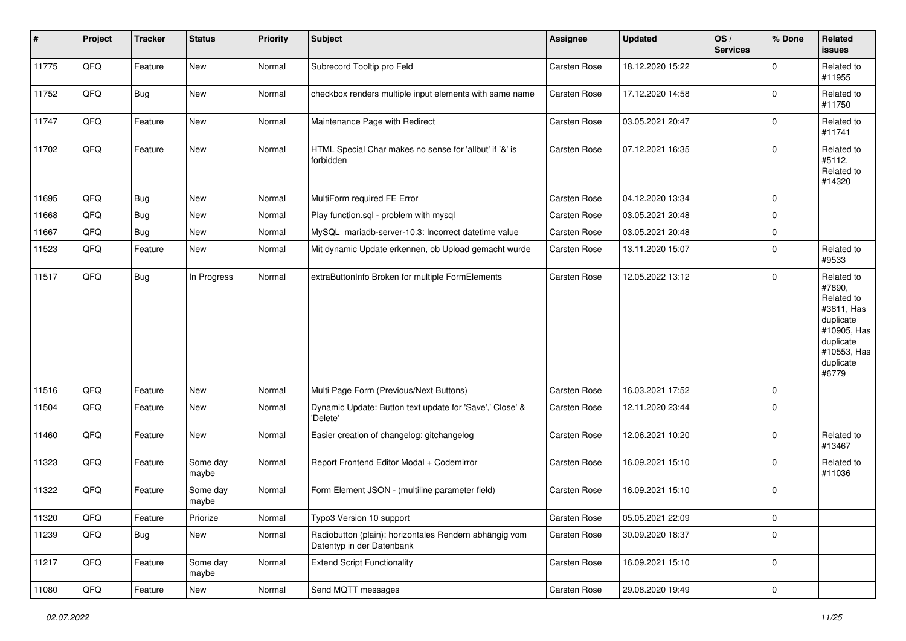| $\vert$ # | Project        | <b>Tracker</b> | <b>Status</b>     | <b>Priority</b> | <b>Subject</b>                                                                      | <b>Assignee</b> | <b>Updated</b>   | OS/<br><b>Services</b> | % Done              | Related<br><b>issues</b>                                                                                                       |
|-----------|----------------|----------------|-------------------|-----------------|-------------------------------------------------------------------------------------|-----------------|------------------|------------------------|---------------------|--------------------------------------------------------------------------------------------------------------------------------|
| 11775     | QFQ            | Feature        | New               | Normal          | Subrecord Tooltip pro Feld                                                          | Carsten Rose    | 18.12.2020 15:22 |                        | $\mathbf 0$         | Related to<br>#11955                                                                                                           |
| 11752     | QFQ            | Bug            | New               | Normal          | checkbox renders multiple input elements with same name                             | Carsten Rose    | 17.12.2020 14:58 |                        | $\mathbf 0$         | Related to<br>#11750                                                                                                           |
| 11747     | QFQ            | Feature        | New               | Normal          | Maintenance Page with Redirect                                                      | Carsten Rose    | 03.05.2021 20:47 |                        | $\mathbf 0$         | Related to<br>#11741                                                                                                           |
| 11702     | QFQ            | Feature        | New               | Normal          | HTML Special Char makes no sense for 'allbut' if '&' is<br>forbidden                | Carsten Rose    | 07.12.2021 16:35 |                        | $\mathbf 0$         | Related to<br>#5112,<br>Related to<br>#14320                                                                                   |
| 11695     | QFQ            | Bug            | <b>New</b>        | Normal          | MultiForm required FE Error                                                         | Carsten Rose    | 04.12.2020 13:34 |                        | $\mathbf 0$         |                                                                                                                                |
| 11668     | QFQ            | Bug            | New               | Normal          | Play function.sql - problem with mysql                                              | Carsten Rose    | 03.05.2021 20:48 |                        | $\mathbf 0$         |                                                                                                                                |
| 11667     | QFQ            | Bug            | New               | Normal          | MySQL mariadb-server-10.3: Incorrect datetime value                                 | Carsten Rose    | 03.05.2021 20:48 |                        | $\mathbf 0$         |                                                                                                                                |
| 11523     | QFQ            | Feature        | New               | Normal          | Mit dynamic Update erkennen, ob Upload gemacht wurde                                | Carsten Rose    | 13.11.2020 15:07 |                        | $\mathbf 0$         | Related to<br>#9533                                                                                                            |
| 11517     | QFQ            | <b>Bug</b>     | In Progress       | Normal          | extraButtonInfo Broken for multiple FormElements                                    | Carsten Rose    | 12.05.2022 13:12 |                        | $\mathbf 0$         | Related to<br>#7890,<br>Related to<br>#3811, Has<br>duplicate<br>#10905, Has<br>duplicate<br>#10553, Has<br>duplicate<br>#6779 |
| 11516     | QFQ            | Feature        | <b>New</b>        | Normal          | Multi Page Form (Previous/Next Buttons)                                             | Carsten Rose    | 16.03.2021 17:52 |                        | $\mathbf 0$         |                                                                                                                                |
| 11504     | QFQ            | Feature        | New               | Normal          | Dynamic Update: Button text update for 'Save',' Close' &<br>'Delete'                | Carsten Rose    | 12.11.2020 23:44 |                        | $\mathbf 0$         |                                                                                                                                |
| 11460     | QFQ            | Feature        | New               | Normal          | Easier creation of changelog: gitchangelog                                          | Carsten Rose    | 12.06.2021 10:20 |                        | $\mathbf 0$         | Related to<br>#13467                                                                                                           |
| 11323     | QFQ            | Feature        | Some day<br>maybe | Normal          | Report Frontend Editor Modal + Codemirror                                           | Carsten Rose    | 16.09.2021 15:10 |                        | $\mathbf 0$         | Related to<br>#11036                                                                                                           |
| 11322     | QFQ            | Feature        | Some day<br>maybe | Normal          | Form Element JSON - (multiline parameter field)                                     | Carsten Rose    | 16.09.2021 15:10 |                        | $\mathbf 0$         |                                                                                                                                |
| 11320     | QFQ            | Feature        | Priorize          | Normal          | Typo3 Version 10 support                                                            | Carsten Rose    | 05.05.2021 22:09 |                        | 0                   |                                                                                                                                |
| 11239     | QFQ            | <b>Bug</b>     | New               | Normal          | Radiobutton (plain): horizontales Rendern abhängig vom<br>Datentyp in der Datenbank | Carsten Rose    | 30.09.2020 18:37 |                        | $\mathsf{O}\xspace$ |                                                                                                                                |
| 11217     | QFQ            | Feature        | Some day<br>maybe | Normal          | <b>Extend Script Functionality</b>                                                  | Carsten Rose    | 16.09.2021 15:10 |                        | $\mathbf 0$         |                                                                                                                                |
| 11080     | $\mathsf{QFQ}$ | Feature        | New               | Normal          | Send MQTT messages                                                                  | Carsten Rose    | 29.08.2020 19:49 |                        | $\mathsf 0$         |                                                                                                                                |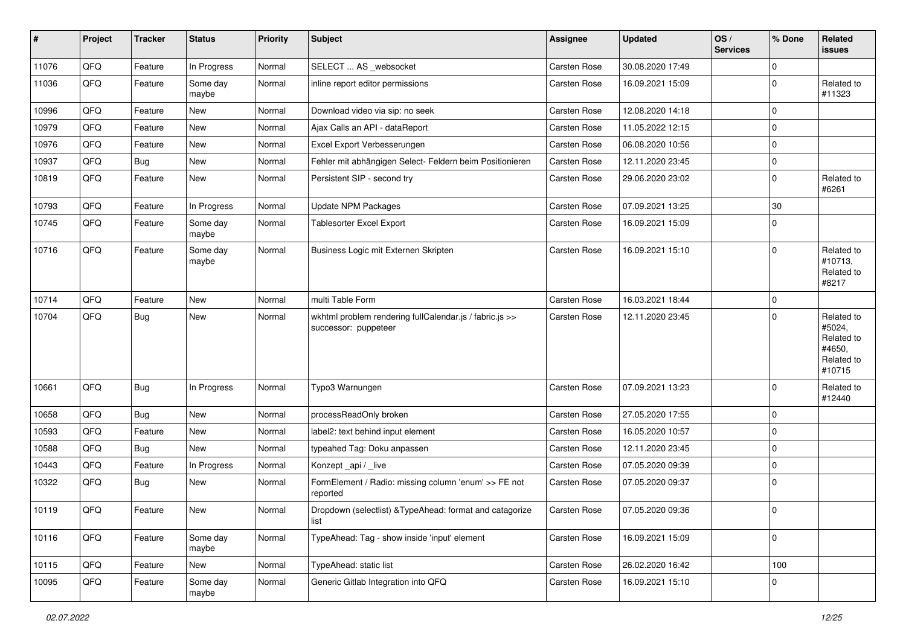| $\sharp$ | Project | <b>Tracker</b> | <b>Status</b>     | <b>Priority</b> | <b>Subject</b>                                                                  | Assignee            | <b>Updated</b>   | OS/<br><b>Services</b> | % Done         | Related<br>issues                                                    |
|----------|---------|----------------|-------------------|-----------------|---------------------------------------------------------------------------------|---------------------|------------------|------------------------|----------------|----------------------------------------------------------------------|
| 11076    | QFQ     | Feature        | In Progress       | Normal          | SELECT  AS _websocket                                                           | Carsten Rose        | 30.08.2020 17:49 |                        | $\mathbf 0$    |                                                                      |
| 11036    | QFQ     | Feature        | Some day<br>maybe | Normal          | inline report editor permissions                                                | Carsten Rose        | 16.09.2021 15:09 |                        | 0              | Related to<br>#11323                                                 |
| 10996    | QFQ     | Feature        | <b>New</b>        | Normal          | Download video via sip: no seek                                                 | Carsten Rose        | 12.08.2020 14:18 |                        | $\mathbf 0$    |                                                                      |
| 10979    | QFQ     | Feature        | New               | Normal          | Ajax Calls an API - dataReport                                                  | Carsten Rose        | 11.05.2022 12:15 |                        | $\Omega$       |                                                                      |
| 10976    | QFQ     | Feature        | <b>New</b>        | Normal          | Excel Export Verbesserungen                                                     | Carsten Rose        | 06.08.2020 10:56 |                        | $\overline{0}$ |                                                                      |
| 10937    | QFQ     | Bug            | New               | Normal          | Fehler mit abhängigen Select- Feldern beim Positionieren                        | <b>Carsten Rose</b> | 12.11.2020 23:45 |                        | $\mathbf 0$    |                                                                      |
| 10819    | QFQ     | Feature        | New               | Normal          | Persistent SIP - second try                                                     | Carsten Rose        | 29.06.2020 23:02 |                        | $\mathbf 0$    | Related to<br>#6261                                                  |
| 10793    | QFQ     | Feature        | In Progress       | Normal          | <b>Update NPM Packages</b>                                                      | Carsten Rose        | 07.09.2021 13:25 |                        | 30             |                                                                      |
| 10745    | QFQ     | Feature        | Some day<br>maybe | Normal          | <b>Tablesorter Excel Export</b>                                                 | <b>Carsten Rose</b> | 16.09.2021 15:09 |                        | $\mathbf 0$    |                                                                      |
| 10716    | QFQ     | Feature        | Some day<br>maybe | Normal          | Business Logic mit Externen Skripten                                            | <b>Carsten Rose</b> | 16.09.2021 15:10 |                        | $\mathbf 0$    | Related to<br>#10713,<br>Related to<br>#8217                         |
| 10714    | QFQ     | Feature        | <b>New</b>        | Normal          | multi Table Form                                                                | Carsten Rose        | 16.03.2021 18:44 |                        | 0              |                                                                      |
| 10704    | QFQ     | <b>Bug</b>     | New               | Normal          | wkhtml problem rendering fullCalendar.js / fabric.js >><br>successor: puppeteer | <b>Carsten Rose</b> | 12.11.2020 23:45 |                        | $\mathbf 0$    | Related to<br>#5024,<br>Related to<br>#4650,<br>Related to<br>#10715 |
| 10661    | QFQ     | <b>Bug</b>     | In Progress       | Normal          | Typo3 Warnungen                                                                 | Carsten Rose        | 07.09.2021 13:23 |                        | 0              | Related to<br>#12440                                                 |
| 10658    | QFQ     | <b>Bug</b>     | <b>New</b>        | Normal          | processReadOnly broken                                                          | <b>Carsten Rose</b> | 27.05.2020 17:55 |                        | $\mathbf 0$    |                                                                      |
| 10593    | QFQ     | Feature        | New               | Normal          | label2: text behind input element                                               | Carsten Rose        | 16.05.2020 10:57 |                        | $\mathbf 0$    |                                                                      |
| 10588    | QFQ     | <b>Bug</b>     | New               | Normal          | typeahed Tag: Doku anpassen                                                     | Carsten Rose        | 12.11.2020 23:45 |                        | 0              |                                                                      |
| 10443    | QFQ     | Feature        | In Progress       | Normal          | Konzept_api / _live                                                             | <b>Carsten Rose</b> | 07.05.2020 09:39 |                        | $\mathbf 0$    |                                                                      |
| 10322    | QFQ     | <b>Bug</b>     | New               | Normal          | FormElement / Radio: missing column 'enum' >> FE not<br>reported                | Carsten Rose        | 07.05.2020 09:37 |                        | $\mathbf 0$    |                                                                      |
| 10119    | QFQ     | Feature        | New               | Normal          | Dropdown (selectlist) & TypeAhead: format and catagorize<br>list                | Carsten Rose        | 07.05.2020 09:36 |                        | 0              |                                                                      |
| 10116    | QFQ     | Feature        | Some day<br>maybe | Normal          | TypeAhead: Tag - show inside 'input' element                                    | Carsten Rose        | 16.09.2021 15:09 |                        | $\mathbf 0$    |                                                                      |
| 10115    | QFQ     | Feature        | New               | Normal          | TypeAhead: static list                                                          | Carsten Rose        | 26.02.2020 16:42 |                        | 100            |                                                                      |
| 10095    | QFQ     | Feature        | Some day<br>maybe | Normal          | Generic Gitlab Integration into QFQ                                             | Carsten Rose        | 16.09.2021 15:10 |                        | 0              |                                                                      |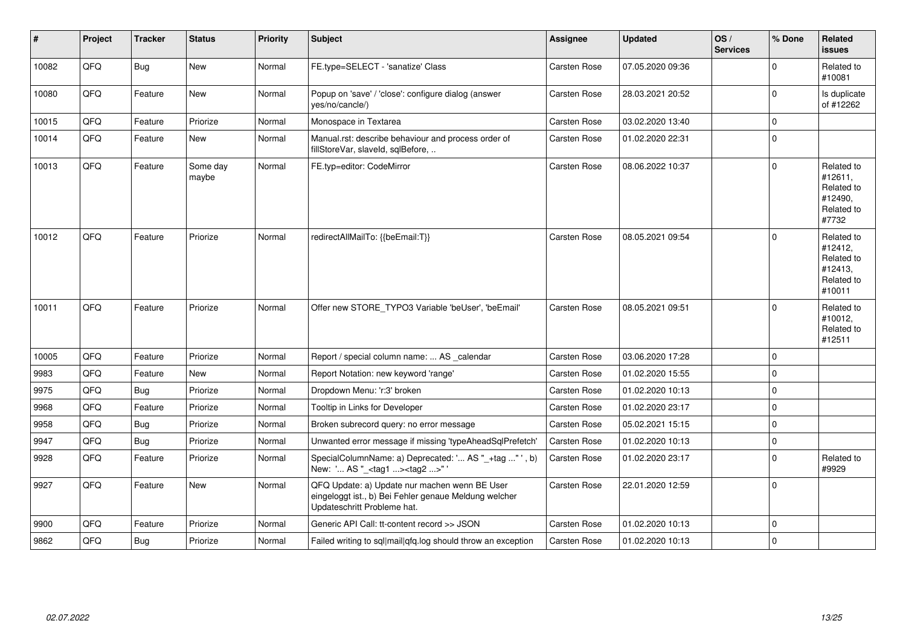| #     | Project | <b>Tracker</b> | <b>Status</b>     | <b>Priority</b> | <b>Subject</b>                                                                                                                        | <b>Assignee</b>     | <b>Updated</b>   | OS/<br><b>Services</b> | % Done      | Related<br><b>issues</b>                                               |
|-------|---------|----------------|-------------------|-----------------|---------------------------------------------------------------------------------------------------------------------------------------|---------------------|------------------|------------------------|-------------|------------------------------------------------------------------------|
| 10082 | QFQ     | <b>Bug</b>     | <b>New</b>        | Normal          | FE.type=SELECT - 'sanatize' Class                                                                                                     | Carsten Rose        | 07.05.2020 09:36 |                        | $\Omega$    | Related to<br>#10081                                                   |
| 10080 | QFQ     | Feature        | New               | Normal          | Popup on 'save' / 'close': configure dialog (answer<br>yes/no/cancle/)                                                                | <b>Carsten Rose</b> | 28.03.2021 20:52 |                        | $\Omega$    | Is duplicate<br>of #12262                                              |
| 10015 | QFQ     | Feature        | Priorize          | Normal          | Monospace in Textarea                                                                                                                 | Carsten Rose        | 03.02.2020 13:40 |                        | $\mathbf 0$ |                                                                        |
| 10014 | QFQ     | Feature        | New               | Normal          | Manual.rst: describe behaviour and process order of<br>fillStoreVar, slaveId, sqlBefore,                                              | <b>Carsten Rose</b> | 01.02.2020 22:31 |                        | $\Omega$    |                                                                        |
| 10013 | QFQ     | Feature        | Some day<br>maybe | Normal          | FE.typ=editor: CodeMirror                                                                                                             | <b>Carsten Rose</b> | 08.06.2022 10:37 |                        | $\Omega$    | Related to<br>#12611,<br>Related to<br>#12490.<br>Related to<br>#7732  |
| 10012 | QFQ     | Feature        | Priorize          | Normal          | redirectAllMailTo: {{beEmail:T}}                                                                                                      | Carsten Rose        | 08.05.2021 09:54 |                        | $\Omega$    | Related to<br>#12412,<br>Related to<br>#12413,<br>Related to<br>#10011 |
| 10011 | QFQ     | Feature        | Priorize          | Normal          | Offer new STORE_TYPO3 Variable 'beUser', 'beEmail'                                                                                    | Carsten Rose        | 08.05.2021 09:51 |                        | $\Omega$    | Related to<br>#10012,<br>Related to<br>#12511                          |
| 10005 | QFQ     | Feature        | Priorize          | Normal          | Report / special column name:  AS _calendar                                                                                           | <b>Carsten Rose</b> | 03.06.2020 17:28 |                        | $\Omega$    |                                                                        |
| 9983  | QFQ     | Feature        | <b>New</b>        | Normal          | Report Notation: new keyword 'range'                                                                                                  | <b>Carsten Rose</b> | 01.02.2020 15:55 |                        | $\mathbf 0$ |                                                                        |
| 9975  | QFQ     | Bug            | Priorize          | Normal          | Dropdown Menu: 'r:3' broken                                                                                                           | Carsten Rose        | 01.02.2020 10:13 |                        | $\mathbf 0$ |                                                                        |
| 9968  | QFQ     | Feature        | Priorize          | Normal          | Tooltip in Links for Developer                                                                                                        | Carsten Rose        | 01.02.2020 23:17 |                        | $\mathbf 0$ |                                                                        |
| 9958  | QFQ     | <b>Bug</b>     | Priorize          | Normal          | Broken subrecord query: no error message                                                                                              | Carsten Rose        | 05.02.2021 15:15 |                        | $\Omega$    |                                                                        |
| 9947  | QFQ     | <b>Bug</b>     | Priorize          | Normal          | Unwanted error message if missing 'typeAheadSqlPrefetch'                                                                              | <b>Carsten Rose</b> | 01.02.2020 10:13 |                        | $\mathbf 0$ |                                                                        |
| 9928  | QFQ     | Feature        | Priorize          | Normal          | SpecialColumnName: a) Deprecated: ' AS "_+tag " ', b)<br>New: ' AS "_ <tag1><tag2>"</tag2></tag1>                                     | Carsten Rose        | 01.02.2020 23:17 |                        | $\mathbf 0$ | Related to<br>#9929                                                    |
| 9927  | QFQ     | Feature        | New               | Normal          | QFQ Update: a) Update nur machen wenn BE User<br>eingeloggt ist., b) Bei Fehler genaue Meldung welcher<br>Updateschritt Probleme hat. | <b>Carsten Rose</b> | 22.01.2020 12:59 |                        | $\Omega$    |                                                                        |
| 9900  | QFQ     | Feature        | Priorize          | Normal          | Generic API Call: tt-content record >> JSON                                                                                           | Carsten Rose        | 01.02.2020 10:13 |                        | $\mathbf 0$ |                                                                        |
| 9862  | QFQ     | <b>Bug</b>     | Priorize          | Normal          | Failed writing to sql mail qfq.log should throw an exception                                                                          | <b>Carsten Rose</b> | 01.02.2020 10:13 |                        | $\Omega$    |                                                                        |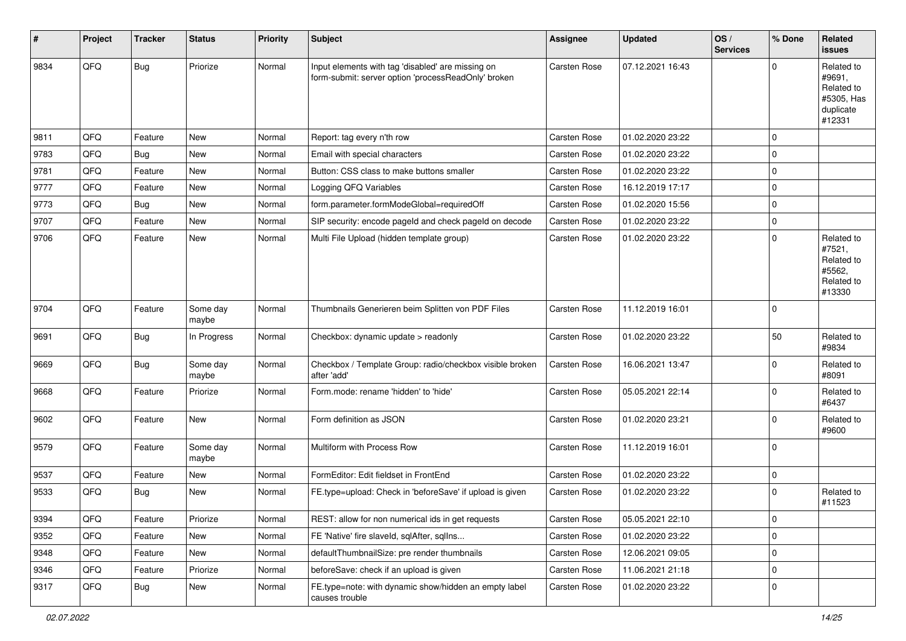| #    | Project | <b>Tracker</b> | <b>Status</b>     | <b>Priority</b> | <b>Subject</b>                                                                                           | <b>Assignee</b>     | <b>Updated</b>   | OS/<br><b>Services</b> | % Done      | Related<br><b>issues</b>                                                |
|------|---------|----------------|-------------------|-----------------|----------------------------------------------------------------------------------------------------------|---------------------|------------------|------------------------|-------------|-------------------------------------------------------------------------|
| 9834 | QFQ     | <b>Bug</b>     | Priorize          | Normal          | Input elements with tag 'disabled' are missing on<br>form-submit: server option 'processReadOnly' broken | Carsten Rose        | 07.12.2021 16:43 |                        | $\Omega$    | Related to<br>#9691,<br>Related to<br>#5305, Has<br>duplicate<br>#12331 |
| 9811 | QFQ     | Feature        | <b>New</b>        | Normal          | Report: tag every n'th row                                                                               | <b>Carsten Rose</b> | 01.02.2020 23:22 |                        | $\mathbf 0$ |                                                                         |
| 9783 | QFQ     | Bug            | New               | Normal          | Email with special characters                                                                            | <b>Carsten Rose</b> | 01.02.2020 23:22 |                        | $\Omega$    |                                                                         |
| 9781 | QFQ     | Feature        | <b>New</b>        | Normal          | Button: CSS class to make buttons smaller                                                                | <b>Carsten Rose</b> | 01.02.2020 23:22 |                        | $\Omega$    |                                                                         |
| 9777 | QFQ     | Feature        | New               | Normal          | Logging QFQ Variables                                                                                    | <b>Carsten Rose</b> | 16.12.2019 17:17 |                        | $\mathbf 0$ |                                                                         |
| 9773 | QFQ     | Bug            | <b>New</b>        | Normal          | form.parameter.formModeGlobal=requiredOff                                                                | Carsten Rose        | 01.02.2020 15:56 |                        | $\Omega$    |                                                                         |
| 9707 | QFQ     | Feature        | <b>New</b>        | Normal          | SIP security: encode pageld and check pageld on decode                                                   | <b>Carsten Rose</b> | 01.02.2020 23:22 |                        | $\mathbf 0$ |                                                                         |
| 9706 | QFQ     | Feature        | <b>New</b>        | Normal          | Multi File Upload (hidden template group)                                                                | <b>Carsten Rose</b> | 01.02.2020 23:22 |                        | $\Omega$    | Related to<br>#7521,<br>Related to<br>#5562,<br>Related to<br>#13330    |
| 9704 | QFQ     | Feature        | Some day<br>maybe | Normal          | Thumbnails Generieren beim Splitten von PDF Files                                                        | <b>Carsten Rose</b> | 11.12.2019 16:01 |                        | $\Omega$    |                                                                         |
| 9691 | QFQ     | Bug            | In Progress       | Normal          | Checkbox: dynamic update > readonly                                                                      | <b>Carsten Rose</b> | 01.02.2020 23:22 |                        | 50          | Related to<br>#9834                                                     |
| 9669 | QFQ     | Bug            | Some day<br>maybe | Normal          | Checkbox / Template Group: radio/checkbox visible broken<br>after 'add'                                  | <b>Carsten Rose</b> | 16.06.2021 13:47 |                        | $\Omega$    | Related to<br>#8091                                                     |
| 9668 | QFQ     | Feature        | Priorize          | Normal          | Form.mode: rename 'hidden' to 'hide'                                                                     | Carsten Rose        | 05.05.2021 22:14 |                        | $\Omega$    | Related to<br>#6437                                                     |
| 9602 | QFQ     | Feature        | New               | Normal          | Form definition as JSON                                                                                  | Carsten Rose        | 01.02.2020 23:21 |                        | $\Omega$    | Related to<br>#9600                                                     |
| 9579 | QFQ     | Feature        | Some day<br>maybe | Normal          | Multiform with Process Row                                                                               | Carsten Rose        | 11.12.2019 16:01 |                        | $\Omega$    |                                                                         |
| 9537 | QFQ     | Feature        | New               | Normal          | FormEditor: Edit fieldset in FrontEnd                                                                    | <b>Carsten Rose</b> | 01.02.2020 23:22 |                        | $\mathbf 0$ |                                                                         |
| 9533 | QFQ     | Bug            | <b>New</b>        | Normal          | FE.type=upload: Check in 'beforeSave' if upload is given                                                 | <b>Carsten Rose</b> | 01.02.2020 23:22 |                        | $\mathbf 0$ | Related to<br>#11523                                                    |
| 9394 | QFQ     | Feature        | Priorize          | Normal          | REST: allow for non numerical ids in get requests                                                        | Carsten Rose        | 05.05.2021 22:10 |                        | 0           |                                                                         |
| 9352 | QFQ     | Feature        | New               | Normal          | FE 'Native' fire slaveld, sqlAfter, sqlIns                                                               | Carsten Rose        | 01.02.2020 23:22 |                        | $\mathbf 0$ |                                                                         |
| 9348 | QFQ     | Feature        | New               | Normal          | defaultThumbnailSize: pre render thumbnails                                                              | Carsten Rose        | 12.06.2021 09:05 |                        | $\mathbf 0$ |                                                                         |
| 9346 | QFQ     | Feature        | Priorize          | Normal          | beforeSave: check if an upload is given                                                                  | Carsten Rose        | 11.06.2021 21:18 |                        | $\mathbf 0$ |                                                                         |
| 9317 | QFQ     | <b>Bug</b>     | New               | Normal          | FE.type=note: with dynamic show/hidden an empty label<br>causes trouble                                  | Carsten Rose        | 01.02.2020 23:22 |                        | $\mathbf 0$ |                                                                         |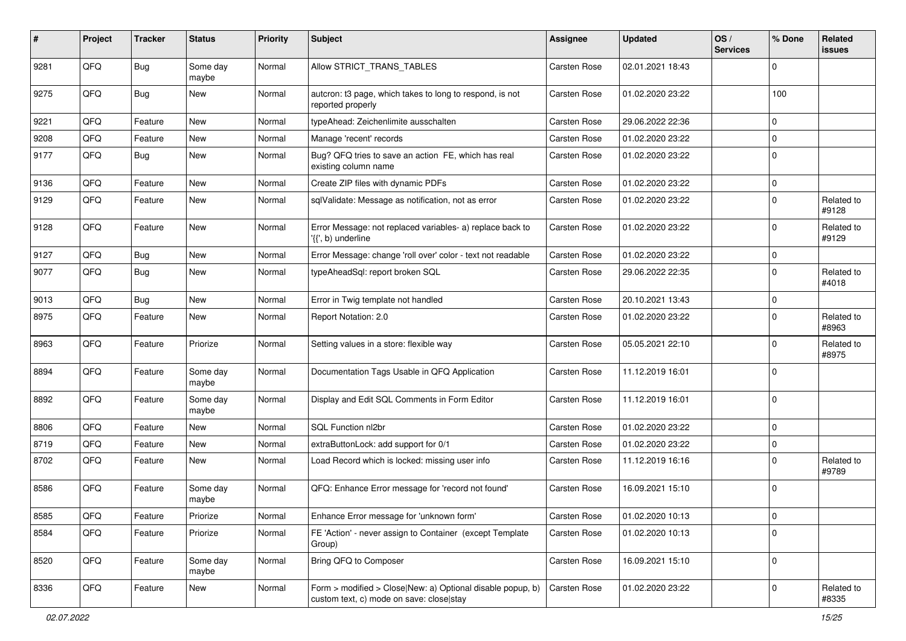| ∦    | Project | <b>Tracker</b> | <b>Status</b>     | <b>Priority</b> | Subject                                                                                                | Assignee            | <b>Updated</b>   | OS/<br><b>Services</b> | % Done      | Related<br>issues   |
|------|---------|----------------|-------------------|-----------------|--------------------------------------------------------------------------------------------------------|---------------------|------------------|------------------------|-------------|---------------------|
| 9281 | QFQ     | Bug            | Some day<br>maybe | Normal          | Allow STRICT TRANS TABLES                                                                              | Carsten Rose        | 02.01.2021 18:43 |                        | $\Omega$    |                     |
| 9275 | QFQ     | <b>Bug</b>     | New               | Normal          | autcron: t3 page, which takes to long to respond, is not<br>reported properly                          | <b>Carsten Rose</b> | 01.02.2020 23:22 |                        | 100         |                     |
| 9221 | QFQ     | Feature        | <b>New</b>        | Normal          | typeAhead: Zeichenlimite ausschalten                                                                   | Carsten Rose        | 29.06.2022 22:36 |                        | $\Omega$    |                     |
| 9208 | QFQ     | Feature        | New               | Normal          | Manage 'recent' records                                                                                | Carsten Rose        | 01.02.2020 23:22 |                        | $\mathbf 0$ |                     |
| 9177 | QFQ     | Bug            | <b>New</b>        | Normal          | Bug? QFQ tries to save an action FE, which has real<br>existing column name                            | Carsten Rose        | 01.02.2020 23:22 |                        | $\mathbf 0$ |                     |
| 9136 | QFQ     | Feature        | New               | Normal          | Create ZIP files with dynamic PDFs                                                                     | Carsten Rose        | 01.02.2020 23:22 |                        | 0           |                     |
| 9129 | QFQ     | Feature        | New               | Normal          | sqlValidate: Message as notification, not as error                                                     | Carsten Rose        | 01.02.2020 23:22 |                        | $\mathbf 0$ | Related to<br>#9128 |
| 9128 | QFQ     | Feature        | <b>New</b>        | Normal          | Error Message: not replaced variables- a) replace back to<br>'{{', b) underline                        | Carsten Rose        | 01.02.2020 23:22 |                        | $\Omega$    | Related to<br>#9129 |
| 9127 | QFQ     | <b>Bug</b>     | <b>New</b>        | Normal          | Error Message: change 'roll over' color - text not readable                                            | <b>Carsten Rose</b> | 01.02.2020 23:22 |                        | $\mathbf 0$ |                     |
| 9077 | QFQ     | Bug            | <b>New</b>        | Normal          | typeAheadSql: report broken SQL                                                                        | <b>Carsten Rose</b> | 29.06.2022 22:35 |                        | $\mathbf 0$ | Related to<br>#4018 |
| 9013 | QFQ     | <b>Bug</b>     | <b>New</b>        | Normal          | Error in Twig template not handled                                                                     | Carsten Rose        | 20.10.2021 13:43 |                        | $\mathbf 0$ |                     |
| 8975 | QFQ     | Feature        | <b>New</b>        | Normal          | Report Notation: 2.0                                                                                   | <b>Carsten Rose</b> | 01.02.2020 23:22 |                        | $\Omega$    | Related to<br>#8963 |
| 8963 | QFQ     | Feature        | Priorize          | Normal          | Setting values in a store: flexible way                                                                | Carsten Rose        | 05.05.2021 22:10 |                        | $\Omega$    | Related to<br>#8975 |
| 8894 | QFQ     | Feature        | Some day<br>maybe | Normal          | Documentation Tags Usable in QFQ Application                                                           | Carsten Rose        | 11.12.2019 16:01 |                        | $\Omega$    |                     |
| 8892 | QFQ     | Feature        | Some day<br>maybe | Normal          | Display and Edit SQL Comments in Form Editor                                                           | Carsten Rose        | 11.12.2019 16:01 |                        | $\mathbf 0$ |                     |
| 8806 | QFQ     | Feature        | <b>New</b>        | Normal          | SQL Function nl2br                                                                                     | <b>Carsten Rose</b> | 01.02.2020 23:22 |                        | $\mathbf 0$ |                     |
| 8719 | QFQ     | Feature        | <b>New</b>        | Normal          | extraButtonLock: add support for 0/1                                                                   | Carsten Rose        | 01.02.2020 23:22 |                        | $\Omega$    |                     |
| 8702 | QFQ     | Feature        | New               | Normal          | Load Record which is locked: missing user info                                                         | Carsten Rose        | 11.12.2019 16:16 |                        | $\Omega$    | Related to<br>#9789 |
| 8586 | QFQ     | Feature        | Some day<br>maybe | Normal          | QFQ: Enhance Error message for 'record not found'                                                      | Carsten Rose        | 16.09.2021 15:10 |                        | $\mathbf 0$ |                     |
| 8585 | QFQ     | Feature        | Priorize          | Normal          | Enhance Error message for 'unknown form'                                                               | Carsten Rose        | 01.02.2020 10:13 |                        | 0           |                     |
| 8584 | QFQ     | Feature        | Priorize          | Normal          | FE 'Action' - never assign to Container (except Template<br>Group)                                     | Carsten Rose        | 01.02.2020 10:13 |                        | $\mathbf 0$ |                     |
| 8520 | QFQ     | Feature        | Some day<br>maybe | Normal          | Bring QFQ to Composer                                                                                  | Carsten Rose        | 16.09.2021 15:10 |                        | $\mathbf 0$ |                     |
| 8336 | QFQ     | Feature        | New               | Normal          | Form > modified > Close New: a) Optional disable popup, b)<br>custom text, c) mode on save: close stay | Carsten Rose        | 01.02.2020 23:22 |                        | 0           | Related to<br>#8335 |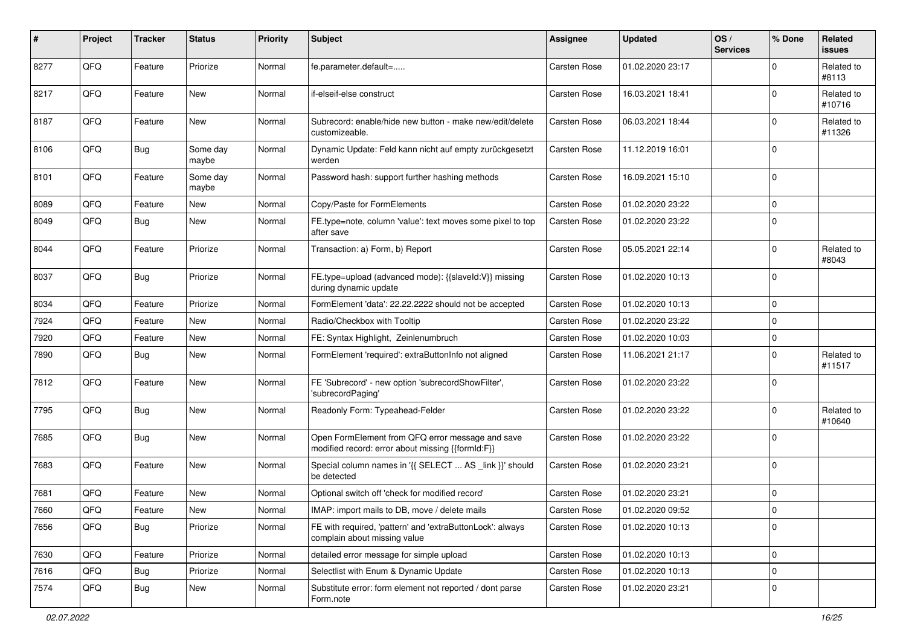| #    | Project | <b>Tracker</b> | <b>Status</b>     | <b>Priority</b> | Subject                                                                                               | <b>Assignee</b>     | <b>Updated</b>   | OS/<br><b>Services</b> | % Done      | Related<br>issues    |
|------|---------|----------------|-------------------|-----------------|-------------------------------------------------------------------------------------------------------|---------------------|------------------|------------------------|-------------|----------------------|
| 8277 | QFQ     | Feature        | Priorize          | Normal          | fe.parameter.default=                                                                                 | Carsten Rose        | 01.02.2020 23:17 |                        | $\Omega$    | Related to<br>#8113  |
| 8217 | QFQ     | Feature        | <b>New</b>        | Normal          | if-elseif-else construct                                                                              | Carsten Rose        | 16.03.2021 18:41 |                        | $\mathbf 0$ | Related to<br>#10716 |
| 8187 | QFQ     | Feature        | <b>New</b>        | Normal          | Subrecord: enable/hide new button - make new/edit/delete<br>customizeable.                            | Carsten Rose        | 06.03.2021 18:44 |                        | $\Omega$    | Related to<br>#11326 |
| 8106 | QFQ     | Bug            | Some day<br>maybe | Normal          | Dynamic Update: Feld kann nicht auf empty zurückgesetzt<br>werden                                     | Carsten Rose        | 11.12.2019 16:01 |                        | $\Omega$    |                      |
| 8101 | QFQ     | Feature        | Some day<br>maybe | Normal          | Password hash: support further hashing methods                                                        | Carsten Rose        | 16.09.2021 15:10 |                        | $\Omega$    |                      |
| 8089 | QFQ     | Feature        | <b>New</b>        | Normal          | Copy/Paste for FormElements                                                                           | Carsten Rose        | 01.02.2020 23:22 |                        | $\mathbf 0$ |                      |
| 8049 | QFQ     | Bug            | <b>New</b>        | Normal          | FE.type=note, column 'value': text moves some pixel to top<br>after save                              | Carsten Rose        | 01.02.2020 23:22 |                        | $\mathbf 0$ |                      |
| 8044 | QFQ     | Feature        | Priorize          | Normal          | Transaction: a) Form, b) Report                                                                       | Carsten Rose        | 05.05.2021 22:14 |                        | $\mathbf 0$ | Related to<br>#8043  |
| 8037 | QFQ     | Bug            | Priorize          | Normal          | FE.type=upload (advanced mode): {{slaveId:V}} missing<br>during dynamic update                        | Carsten Rose        | 01.02.2020 10:13 |                        | $\Omega$    |                      |
| 8034 | QFQ     | Feature        | Priorize          | Normal          | FormElement 'data': 22.22.2222 should not be accepted                                                 | Carsten Rose        | 01.02.2020 10:13 |                        | $\mathbf 0$ |                      |
| 7924 | QFQ     | Feature        | <b>New</b>        | Normal          | Radio/Checkbox with Tooltip                                                                           | Carsten Rose        | 01.02.2020 23:22 |                        | $\Omega$    |                      |
| 7920 | QFQ     | Feature        | New               | Normal          | FE: Syntax Highlight, Zeinlenumbruch                                                                  | <b>Carsten Rose</b> | 01.02.2020 10:03 |                        | $\mathbf 0$ |                      |
| 7890 | QFQ     | Bug            | New               | Normal          | FormElement 'required': extraButtonInfo not aligned                                                   | Carsten Rose        | 11.06.2021 21:17 |                        | $\Omega$    | Related to<br>#11517 |
| 7812 | QFQ     | Feature        | New               | Normal          | FE 'Subrecord' - new option 'subrecordShowFilter',<br>'subrecordPaging'                               | Carsten Rose        | 01.02.2020 23:22 |                        | $\Omega$    |                      |
| 7795 | QFQ     | Bug            | <b>New</b>        | Normal          | Readonly Form: Typeahead-Felder                                                                       | Carsten Rose        | 01.02.2020 23:22 |                        | $\Omega$    | Related to<br>#10640 |
| 7685 | QFQ     | Bug            | <b>New</b>        | Normal          | Open FormElement from QFQ error message and save<br>modified record: error about missing {{formId:F}} | Carsten Rose        | 01.02.2020 23:22 |                        | $\Omega$    |                      |
| 7683 | QFQ     | Feature        | <b>New</b>        | Normal          | Special column names in '{{ SELECT  AS _link }}' should<br>be detected                                | Carsten Rose        | 01.02.2020 23:21 |                        | l 0         |                      |
| 7681 | QFQ     | Feature        | New               | Normal          | Optional switch off 'check for modified record'                                                       | Carsten Rose        | 01.02.2020 23:21 |                        | $\Omega$    |                      |
| 7660 | QFQ     | Feature        | <b>New</b>        | Normal          | IMAP: import mails to DB, move / delete mails                                                         | Carsten Rose        | 01.02.2020 09:52 |                        | l O         |                      |
| 7656 | QFQ     | <b>Bug</b>     | Priorize          | Normal          | FE with required, 'pattern' and 'extraButtonLock': always<br>complain about missing value             | Carsten Rose        | 01.02.2020 10:13 |                        | 0           |                      |
| 7630 | QFQ     | Feature        | Priorize          | Normal          | detailed error message for simple upload                                                              | Carsten Rose        | 01.02.2020 10:13 |                        | 0           |                      |
| 7616 | QFQ     | Bug            | Priorize          | Normal          | Selectlist with Enum & Dynamic Update                                                                 | Carsten Rose        | 01.02.2020 10:13 |                        | $\mathbf 0$ |                      |
| 7574 | QFQ     | <b>Bug</b>     | New               | Normal          | Substitute error: form element not reported / dont parse<br>Form.note                                 | Carsten Rose        | 01.02.2020 23:21 |                        | $\mathbf 0$ |                      |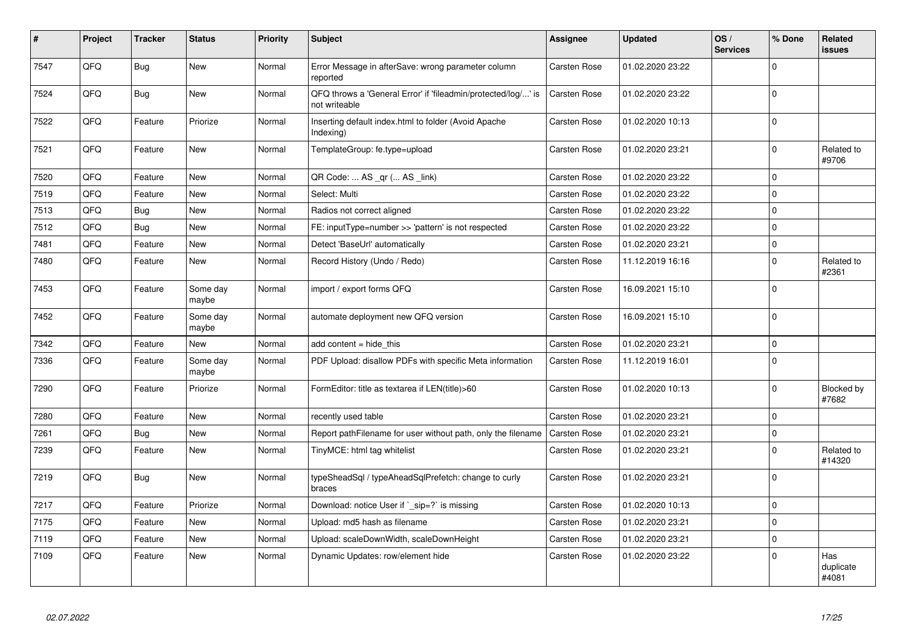| #    | Project | <b>Tracker</b> | <b>Status</b>     | <b>Priority</b> | <b>Subject</b>                                                                 | <b>Assignee</b>     | <b>Updated</b>   | OS/<br><b>Services</b> | % Done      | Related<br>issues         |
|------|---------|----------------|-------------------|-----------------|--------------------------------------------------------------------------------|---------------------|------------------|------------------------|-------------|---------------------------|
| 7547 | QFQ     | Bug            | <b>New</b>        | Normal          | Error Message in afterSave: wrong parameter column<br>reported                 | Carsten Rose        | 01.02.2020 23:22 |                        | $\mathbf 0$ |                           |
| 7524 | QFQ     | Bug            | <b>New</b>        | Normal          | QFQ throws a 'General Error' if 'fileadmin/protected/log/' is<br>not writeable | <b>Carsten Rose</b> | 01.02.2020 23:22 |                        | $\mathbf 0$ |                           |
| 7522 | QFQ     | Feature        | Priorize          | Normal          | Inserting default index.html to folder (Avoid Apache<br>Indexing)              | Carsten Rose        | 01.02.2020 10:13 |                        | $\mathbf 0$ |                           |
| 7521 | QFQ     | Feature        | New               | Normal          | TemplateGroup: fe.type=upload                                                  | <b>Carsten Rose</b> | 01.02.2020 23:21 |                        | $\Omega$    | Related to<br>#9706       |
| 7520 | QFQ     | Feature        | New               | Normal          | QR Code:  AS _qr ( AS _link)                                                   | <b>Carsten Rose</b> | 01.02.2020 23:22 |                        | $\Omega$    |                           |
| 7519 | QFQ     | Feature        | New               | Normal          | Select: Multi                                                                  | Carsten Rose        | 01.02.2020 23:22 |                        | $\Omega$    |                           |
| 7513 | QFQ     | Bug            | New               | Normal          | Radios not correct aligned                                                     | Carsten Rose        | 01.02.2020 23:22 |                        | $\mathbf 0$ |                           |
| 7512 | QFQ     | Bug            | <b>New</b>        | Normal          | FE: inputType=number >> 'pattern' is not respected                             | Carsten Rose        | 01.02.2020 23:22 |                        | $\Omega$    |                           |
| 7481 | QFQ     | Feature        | <b>New</b>        | Normal          | Detect 'BaseUrl' automatically                                                 | Carsten Rose        | 01.02.2020 23:21 |                        | $\mathbf 0$ |                           |
| 7480 | QFQ     | Feature        | <b>New</b>        | Normal          | Record History (Undo / Redo)                                                   | Carsten Rose        | 11.12.2019 16:16 |                        | $\Omega$    | Related to<br>#2361       |
| 7453 | QFQ     | Feature        | Some day<br>maybe | Normal          | import / export forms QFQ                                                      | Carsten Rose        | 16.09.2021 15:10 |                        | $\Omega$    |                           |
| 7452 | QFQ     | Feature        | Some day<br>maybe | Normal          | automate deployment new QFQ version                                            | Carsten Rose        | 16.09.2021 15:10 |                        | $\Omega$    |                           |
| 7342 | QFQ     | Feature        | New               | Normal          | add content $=$ hide this                                                      | Carsten Rose        | 01.02.2020 23:21 |                        | $\Omega$    |                           |
| 7336 | QFQ     | Feature        | Some day<br>maybe | Normal          | PDF Upload: disallow PDFs with specific Meta information                       | <b>Carsten Rose</b> | 11.12.2019 16:01 |                        | $\Omega$    |                           |
| 7290 | QFQ     | Feature        | Priorize          | Normal          | FormEditor: title as textarea if LEN(title)>60                                 | <b>Carsten Rose</b> | 01.02.2020 10:13 |                        | $\Omega$    | Blocked by<br>#7682       |
| 7280 | QFQ     | Feature        | New               | Normal          | recently used table                                                            | Carsten Rose        | 01.02.2020 23:21 |                        | $\Omega$    |                           |
| 7261 | QFQ     | Bug            | New               | Normal          | Report pathFilename for user without path, only the filename                   | Carsten Rose        | 01.02.2020 23:21 |                        | $\Omega$    |                           |
| 7239 | QFQ     | Feature        | New               | Normal          | TinyMCE: html tag whitelist                                                    | <b>Carsten Rose</b> | 01.02.2020 23:21 |                        | $\Omega$    | Related to<br>#14320      |
| 7219 | QFQ     | <b>Bug</b>     | <b>New</b>        | Normal          | typeSheadSql / typeAheadSqlPrefetch: change to curly<br>braces                 | <b>Carsten Rose</b> | 01.02.2020 23:21 |                        | $\Omega$    |                           |
| 7217 | QFQ     | Feature        | Priorize          | Normal          | Download: notice User if `_sip=?` is missing                                   | Carsten Rose        | 01.02.2020 10:13 |                        | $\Omega$    |                           |
| 7175 | QFQ     | Feature        | New               | Normal          | Upload: md5 hash as filename                                                   | Carsten Rose        | 01.02.2020 23:21 |                        | $\Omega$    |                           |
| 7119 | QFQ     | Feature        | <b>New</b>        | Normal          | Upload: scaleDownWidth, scaleDownHeight                                        | Carsten Rose        | 01.02.2020 23:21 |                        | $\mathbf 0$ |                           |
| 7109 | QFQ     | Feature        | <b>New</b>        | Normal          | Dynamic Updates: row/element hide                                              | Carsten Rose        | 01.02.2020 23:22 |                        | $\Omega$    | Has<br>duplicate<br>#4081 |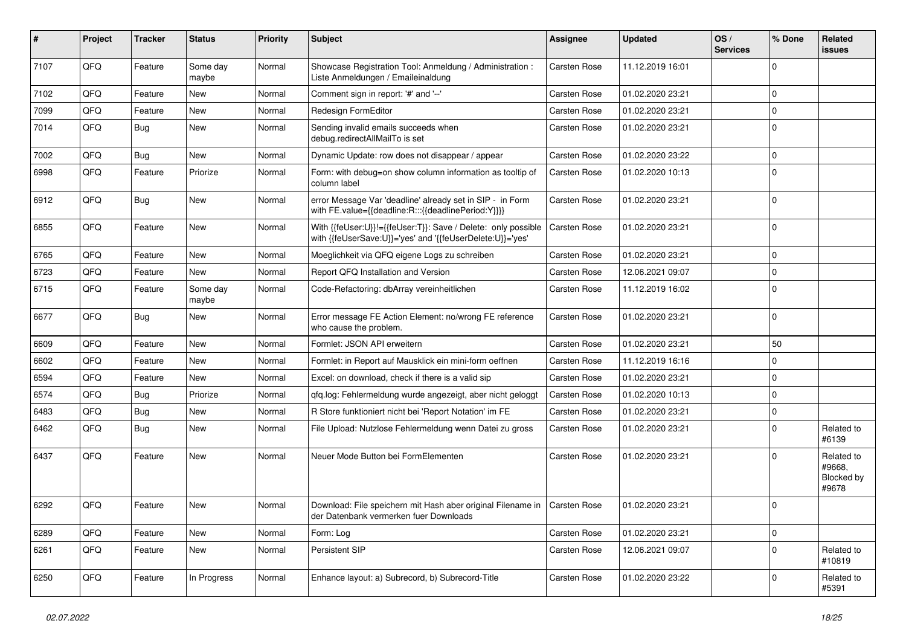| ∦    | Project | Tracker    | <b>Status</b>     | <b>Priority</b> | <b>Subject</b>                                                                                                             | <b>Assignee</b>     | <b>Updated</b>   | OS/<br><b>Services</b> | % Done      | Related<br>issues                           |
|------|---------|------------|-------------------|-----------------|----------------------------------------------------------------------------------------------------------------------------|---------------------|------------------|------------------------|-------------|---------------------------------------------|
| 7107 | QFQ     | Feature    | Some day<br>maybe | Normal          | Showcase Registration Tool: Anmeldung / Administration :<br>Liste Anmeldungen / Emaileinaldung                             | <b>Carsten Rose</b> | 11.12.2019 16:01 |                        | $\Omega$    |                                             |
| 7102 | QFQ     | Feature    | <b>New</b>        | Normal          | Comment sign in report: '#' and '--'                                                                                       | Carsten Rose        | 01.02.2020 23:21 |                        | $\mathbf 0$ |                                             |
| 7099 | QFQ     | Feature    | <b>New</b>        | Normal          | Redesign FormEditor                                                                                                        | Carsten Rose        | 01.02.2020 23:21 |                        | $\mathbf 0$ |                                             |
| 7014 | QFQ     | Bug        | <b>New</b>        | Normal          | Sending invalid emails succeeds when<br>debug.redirectAllMailTo is set                                                     | Carsten Rose        | 01.02.2020 23:21 |                        | $\Omega$    |                                             |
| 7002 | QFQ     | Bug        | <b>New</b>        | Normal          | Dynamic Update: row does not disappear / appear                                                                            | Carsten Rose        | 01.02.2020 23:22 |                        | $\Omega$    |                                             |
| 6998 | QFQ     | Feature    | Priorize          | Normal          | Form: with debug=on show column information as tooltip of<br>column label                                                  | Carsten Rose        | 01.02.2020 10:13 |                        | $\Omega$    |                                             |
| 6912 | QFQ     | <b>Bug</b> | <b>New</b>        | Normal          | error Message Var 'deadline' already set in SIP - in Form<br>with FE.value={{deadline:R:::{{deadlinePeriod:Y}}}}           | Carsten Rose        | 01.02.2020 23:21 |                        | $\Omega$    |                                             |
| 6855 | QFQ     | Feature    | New               | Normal          | With {{feUser:U}}!={{feUser:T}}: Save / Delete: only possible<br>with {{feUserSave:U}}='yes' and '{{feUserDelete:U}}='yes' | <b>Carsten Rose</b> | 01.02.2020 23:21 |                        | $\Omega$    |                                             |
| 6765 | QFQ     | Feature    | <b>New</b>        | Normal          | Moeglichkeit via QFQ eigene Logs zu schreiben                                                                              | Carsten Rose        | 01.02.2020 23:21 |                        | $\Omega$    |                                             |
| 6723 | QFQ     | Feature    | <b>New</b>        | Normal          | Report QFQ Installation and Version                                                                                        | Carsten Rose        | 12.06.2021 09:07 |                        | $\Omega$    |                                             |
| 6715 | QFQ     | Feature    | Some day<br>maybe | Normal          | Code-Refactoring: dbArray vereinheitlichen                                                                                 | Carsten Rose        | 11.12.2019 16:02 |                        | $\Omega$    |                                             |
| 6677 | QFQ     | Bug        | <b>New</b>        | Normal          | Error message FE Action Element: no/wrong FE reference<br>who cause the problem.                                           | Carsten Rose        | 01.02.2020 23:21 |                        | $\Omega$    |                                             |
| 6609 | QFQ     | Feature    | <b>New</b>        | Normal          | Formlet: JSON API erweitern                                                                                                | <b>Carsten Rose</b> | 01.02.2020 23:21 |                        | 50          |                                             |
| 6602 | QFQ     | Feature    | <b>New</b>        | Normal          | Formlet: in Report auf Mausklick ein mini-form oeffnen                                                                     | <b>Carsten Rose</b> | 11.12.2019 16:16 |                        | $\Omega$    |                                             |
| 6594 | QFQ     | Feature    | New               | Normal          | Excel: on download, check if there is a valid sip                                                                          | <b>Carsten Rose</b> | 01.02.2020 23:21 |                        | $\Omega$    |                                             |
| 6574 | QFQ     | Bug        | Priorize          | Normal          | qfq.log: Fehlermeldung wurde angezeigt, aber nicht geloggt                                                                 | <b>Carsten Rose</b> | 01.02.2020 10:13 |                        | $\Omega$    |                                             |
| 6483 | QFQ     | Bug        | <b>New</b>        | Normal          | R Store funktioniert nicht bei 'Report Notation' im FE                                                                     | <b>Carsten Rose</b> | 01.02.2020 23:21 |                        | $\Omega$    |                                             |
| 6462 | QFQ     | Bug        | New               | Normal          | File Upload: Nutzlose Fehlermeldung wenn Datei zu gross                                                                    | <b>Carsten Rose</b> | 01.02.2020 23:21 |                        | $\Omega$    | Related to<br>#6139                         |
| 6437 | QFQ     | Feature    | <b>New</b>        | Normal          | Neuer Mode Button bei FormElementen                                                                                        | <b>Carsten Rose</b> | 01.02.2020 23:21 |                        | $\Omega$    | Related to<br>#9668,<br>Blocked by<br>#9678 |
| 6292 | QFQ     | Feature    | <b>New</b>        | Normal          | Download: File speichern mit Hash aber original Filename in<br>der Datenbank vermerken fuer Downloads                      | Carsten Rose        | 01.02.2020 23:21 |                        | $\Omega$    |                                             |
| 6289 | QFQ     | Feature    | <b>New</b>        | Normal          | Form: Log                                                                                                                  | Carsten Rose        | 01.02.2020 23:21 |                        | $\Omega$    |                                             |
| 6261 | QFQ     | Feature    | New               | Normal          | <b>Persistent SIP</b>                                                                                                      | <b>Carsten Rose</b> | 12.06.2021 09:07 |                        | $\Omega$    | Related to<br>#10819                        |
| 6250 | QFQ     | Feature    | In Progress       | Normal          | Enhance layout: a) Subrecord, b) Subrecord-Title                                                                           | <b>Carsten Rose</b> | 01.02.2020 23:22 |                        | $\Omega$    | Related to<br>#5391                         |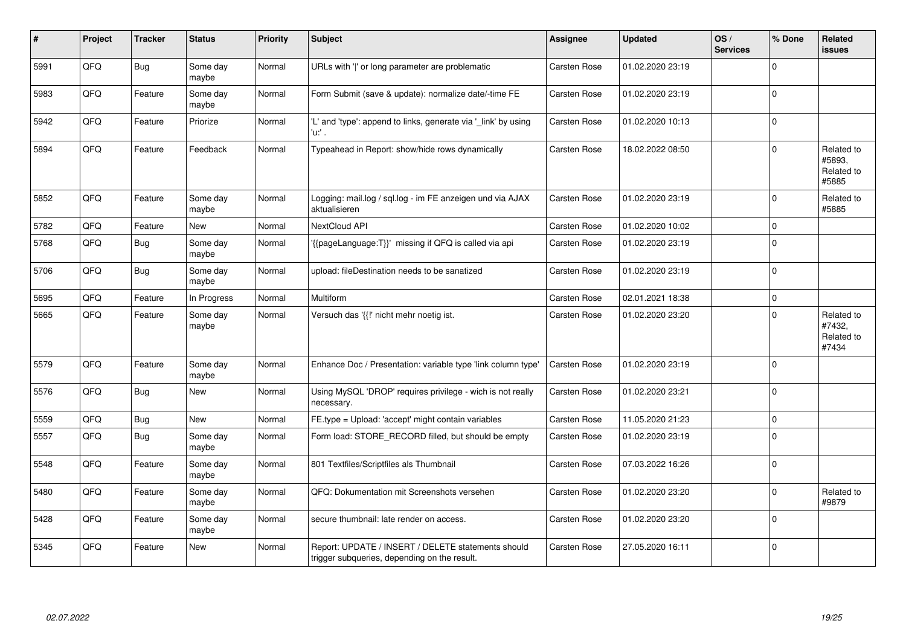| ∦    | Project | <b>Tracker</b> | <b>Status</b>     | <b>Priority</b> | <b>Subject</b>                                                                                     | Assignee            | <b>Updated</b>   | OS/<br><b>Services</b> | % Done   | Related<br>issues                           |
|------|---------|----------------|-------------------|-----------------|----------------------------------------------------------------------------------------------------|---------------------|------------------|------------------------|----------|---------------------------------------------|
| 5991 | QFQ     | Bug            | Some day<br>maybe | Normal          | URLs with ' ' or long parameter are problematic                                                    | Carsten Rose        | 01.02.2020 23:19 |                        | $\Omega$ |                                             |
| 5983 | QFQ     | Feature        | Some day<br>maybe | Normal          | Form Submit (save & update): normalize date/-time FE                                               | Carsten Rose        | 01.02.2020 23:19 |                        | $\Omega$ |                                             |
| 5942 | QFQ     | Feature        | Priorize          | Normal          | 'L' and 'type': append to links, generate via '_link' by using<br>'u:' .                           | <b>Carsten Rose</b> | 01.02.2020 10:13 |                        | $\Omega$ |                                             |
| 5894 | QFQ     | Feature        | Feedback          | Normal          | Typeahead in Report: show/hide rows dynamically                                                    | <b>Carsten Rose</b> | 18.02.2022 08:50 |                        | $\Omega$ | Related to<br>#5893,<br>Related to<br>#5885 |
| 5852 | QFQ     | Feature        | Some day<br>maybe | Normal          | Logging: mail.log / sql.log - im FE anzeigen und via AJAX<br>aktualisieren                         | Carsten Rose        | 01.02.2020 23:19 |                        | $\Omega$ | Related to<br>#5885                         |
| 5782 | QFQ     | Feature        | <b>New</b>        | Normal          | <b>NextCloud API</b>                                                                               | Carsten Rose        | 01.02.2020 10:02 |                        | $\Omega$ |                                             |
| 5768 | QFQ     | Bug            | Some day<br>maybe | Normal          | '{{pageLanguage:T}}' missing if QFQ is called via api                                              | Carsten Rose        | 01.02.2020 23:19 |                        | $\Omega$ |                                             |
| 5706 | QFQ     | Bug            | Some day<br>maybe | Normal          | upload: fileDestination needs to be sanatized                                                      | Carsten Rose        | 01.02.2020 23:19 |                        | $\Omega$ |                                             |
| 5695 | QFQ     | Feature        | In Progress       | Normal          | Multiform                                                                                          | Carsten Rose        | 02.01.2021 18:38 |                        | $\Omega$ |                                             |
| 5665 | QFQ     | Feature        | Some day<br>maybe | Normal          | Versuch das '{{!' nicht mehr noetig ist.                                                           | <b>Carsten Rose</b> | 01.02.2020 23:20 |                        | $\Omega$ | Related to<br>#7432,<br>Related to<br>#7434 |
| 5579 | QFQ     | Feature        | Some day<br>maybe | Normal          | Enhance Doc / Presentation: variable type 'link column type'                                       | Carsten Rose        | 01.02.2020 23:19 |                        | $\Omega$ |                                             |
| 5576 | QFQ     | Bug            | New               | Normal          | Using MySQL 'DROP' requires privilege - wich is not really<br>necessary.                           | Carsten Rose        | 01.02.2020 23:21 |                        | $\Omega$ |                                             |
| 5559 | QFQ     | <b>Bug</b>     | <b>New</b>        | Normal          | FE.type = Upload: 'accept' might contain variables                                                 | Carsten Rose        | 11.05.2020 21:23 |                        | $\Omega$ |                                             |
| 5557 | QFQ     | Bug            | Some day<br>maybe | Normal          | Form load: STORE_RECORD filled, but should be empty                                                | Carsten Rose        | 01.02.2020 23:19 |                        | $\Omega$ |                                             |
| 5548 | QFQ     | Feature        | Some day<br>maybe | Normal          | 801 Textfiles/Scriptfiles als Thumbnail                                                            | Carsten Rose        | 07.03.2022 16:26 |                        | $\Omega$ |                                             |
| 5480 | QFQ     | Feature        | Some day<br>maybe | Normal          | QFQ: Dokumentation mit Screenshots versehen                                                        | Carsten Rose        | 01.02.2020 23:20 |                        | $\Omega$ | Related to<br>#9879                         |
| 5428 | QFQ     | Feature        | Some day<br>maybe | Normal          | secure thumbnail: late render on access.                                                           | <b>Carsten Rose</b> | 01.02.2020 23:20 |                        | $\Omega$ |                                             |
| 5345 | QFQ     | Feature        | <b>New</b>        | Normal          | Report: UPDATE / INSERT / DELETE statements should<br>trigger subqueries, depending on the result. | Carsten Rose        | 27.05.2020 16:11 |                        | $\Omega$ |                                             |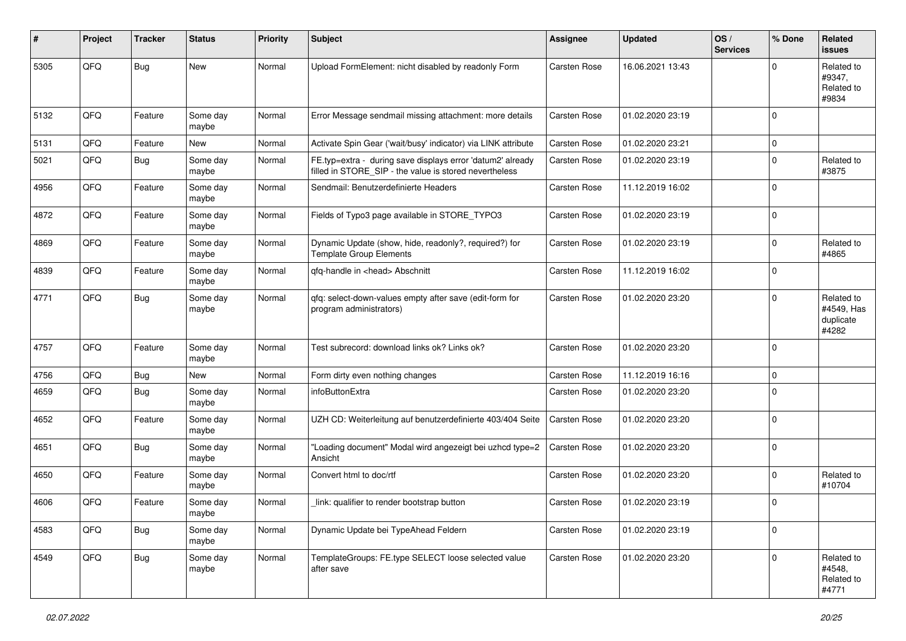| ∦    | Project | <b>Tracker</b> | <b>Status</b>     | <b>Priority</b> | Subject                                                                                                              | <b>Assignee</b>     | <b>Updated</b>   | OS/<br><b>Services</b> | % Done              | Related<br><b>issues</b>                       |
|------|---------|----------------|-------------------|-----------------|----------------------------------------------------------------------------------------------------------------------|---------------------|------------------|------------------------|---------------------|------------------------------------------------|
| 5305 | QFQ     | Bug            | <b>New</b>        | Normal          | Upload FormElement: nicht disabled by readonly Form                                                                  | Carsten Rose        | 16.06.2021 13:43 |                        | $\mathbf 0$         | Related to<br>#9347,<br>Related to<br>#9834    |
| 5132 | QFQ     | Feature        | Some day<br>maybe | Normal          | Error Message sendmail missing attachment: more details                                                              | Carsten Rose        | 01.02.2020 23:19 |                        | $\mathbf 0$         |                                                |
| 5131 | QFQ     | Feature        | <b>New</b>        | Normal          | Activate Spin Gear ('wait/busy' indicator) via LINK attribute                                                        | <b>Carsten Rose</b> | 01.02.2020 23:21 |                        | $\mathsf{O}\xspace$ |                                                |
| 5021 | QFQ     | Bug            | Some day<br>maybe | Normal          | FE.typ=extra - during save displays error 'datum2' already<br>filled in STORE_SIP - the value is stored nevertheless | Carsten Rose        | 01.02.2020 23:19 |                        | $\mathbf 0$         | Related to<br>#3875                            |
| 4956 | QFQ     | Feature        | Some day<br>maybe | Normal          | Sendmail: Benutzerdefinierte Headers                                                                                 | Carsten Rose        | 11.12.2019 16:02 |                        | $\mathbf 0$         |                                                |
| 4872 | QFQ     | Feature        | Some day<br>maybe | Normal          | Fields of Typo3 page available in STORE_TYPO3                                                                        | Carsten Rose        | 01.02.2020 23:19 |                        | $\mathbf 0$         |                                                |
| 4869 | QFQ     | Feature        | Some day<br>maybe | Normal          | Dynamic Update (show, hide, readonly?, required?) for<br><b>Template Group Elements</b>                              | Carsten Rose        | 01.02.2020 23:19 |                        | $\mathbf 0$         | Related to<br>#4865                            |
| 4839 | QFQ     | Feature        | Some day<br>maybe | Normal          | gfg-handle in <head> Abschnitt</head>                                                                                | Carsten Rose        | 11.12.2019 16:02 |                        | $\mathbf 0$         |                                                |
| 4771 | QFQ     | <b>Bug</b>     | Some day<br>maybe | Normal          | qfq: select-down-values empty after save (edit-form for<br>program administrators)                                   | Carsten Rose        | 01.02.2020 23:20 |                        | $\mathbf 0$         | Related to<br>#4549, Has<br>duplicate<br>#4282 |
| 4757 | QFQ     | Feature        | Some day<br>maybe | Normal          | Test subrecord: download links ok? Links ok?                                                                         | Carsten Rose        | 01.02.2020 23:20 |                        | $\mathbf 0$         |                                                |
| 4756 | QFQ     | Bug            | New               | Normal          | Form dirty even nothing changes                                                                                      | Carsten Rose        | 11.12.2019 16:16 |                        | $\mathbf 0$         |                                                |
| 4659 | QFQ     | <b>Bug</b>     | Some day<br>maybe | Normal          | infoButtonExtra                                                                                                      | Carsten Rose        | 01.02.2020 23:20 |                        | $\mathbf 0$         |                                                |
| 4652 | QFQ     | Feature        | Some day<br>maybe | Normal          | UZH CD: Weiterleitung auf benutzerdefinierte 403/404 Seite                                                           | Carsten Rose        | 01.02.2020 23:20 |                        | $\mathbf 0$         |                                                |
| 4651 | QFQ     | <b>Bug</b>     | Some day<br>maybe | Normal          | "Loading document" Modal wird angezeigt bei uzhcd type=2<br>Ansicht                                                  | Carsten Rose        | 01.02.2020 23:20 |                        | $\mathbf 0$         |                                                |
| 4650 | QFQ     | Feature        | Some day<br>maybe | Normal          | Convert html to doc/rtf                                                                                              | Carsten Rose        | 01.02.2020 23:20 |                        | $\mathbf 0$         | Related to<br>#10704                           |
| 4606 | QFQ     | Feature        | Some day<br>maybe | Normal          | link: qualifier to render bootstrap button                                                                           | Carsten Rose        | 01.02.2020 23:19 |                        | $\mathbf 0$         |                                                |
| 4583 | QFQ     | Bug            | Some day<br>maybe | Normal          | Dynamic Update bei TypeAhead Feldern                                                                                 | Carsten Rose        | 01.02.2020 23:19 |                        | $\mathbf 0$         |                                                |
| 4549 | QFQ     | <b>Bug</b>     | Some day<br>maybe | Normal          | TemplateGroups: FE.type SELECT loose selected value<br>after save                                                    | Carsten Rose        | 01.02.2020 23:20 |                        | $\mathbf 0$         | Related to<br>#4548,<br>Related to<br>#4771    |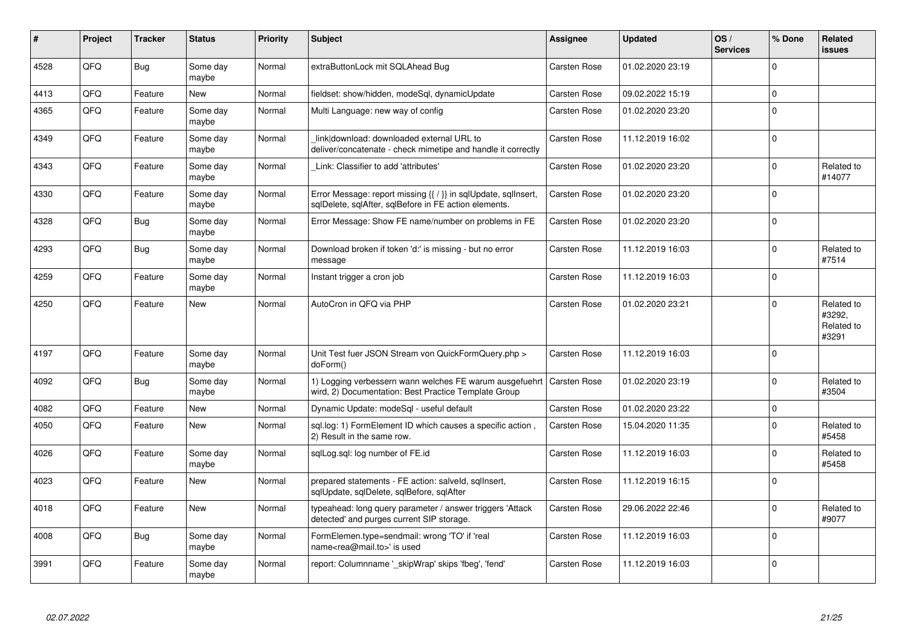| #    | Project | <b>Tracker</b> | <b>Status</b>     | <b>Priority</b> | <b>Subject</b>                                                                                                          | Assignee            | <b>Updated</b>   | OS/<br><b>Services</b> | % Done      | Related<br><b>issues</b>                    |
|------|---------|----------------|-------------------|-----------------|-------------------------------------------------------------------------------------------------------------------------|---------------------|------------------|------------------------|-------------|---------------------------------------------|
| 4528 | QFQ     | <b>Bug</b>     | Some day<br>maybe | Normal          | extraButtonLock mit SQLAhead Bug                                                                                        | <b>Carsten Rose</b> | 01.02.2020 23:19 |                        | $\Omega$    |                                             |
| 4413 | QFQ     | Feature        | <b>New</b>        | Normal          | fieldset: show/hidden, modeSgl, dynamicUpdate                                                                           | Carsten Rose        | 09.02.2022 15:19 |                        | $\mathbf 0$ |                                             |
| 4365 | QFQ     | Feature        | Some day<br>maybe | Normal          | Multi Language: new way of config                                                                                       | <b>Carsten Rose</b> | 01.02.2020 23:20 |                        | $\Omega$    |                                             |
| 4349 | QFQ     | Feature        | Some day<br>maybe | Normal          | link download: downloaded external URL to<br>deliver/concatenate - check mimetipe and handle it correctly               | Carsten Rose        | 11.12.2019 16:02 |                        | $\mathbf 0$ |                                             |
| 4343 | QFQ     | Feature        | Some day<br>maybe | Normal          | Link: Classifier to add 'attributes'                                                                                    | <b>Carsten Rose</b> | 01.02.2020 23:20 |                        | $\Omega$    | Related to<br>#14077                        |
| 4330 | QFQ     | Feature        | Some day<br>maybe | Normal          | Error Message: report missing {{ / }} in sqlUpdate, sqlInsert,<br>sqlDelete, sqlAfter, sqlBefore in FE action elements. | <b>Carsten Rose</b> | 01.02.2020 23:20 |                        | $\Omega$    |                                             |
| 4328 | QFQ     | <b>Bug</b>     | Some day<br>maybe | Normal          | Error Message: Show FE name/number on problems in FE                                                                    | <b>Carsten Rose</b> | 01.02.2020 23:20 |                        | $\mathbf 0$ |                                             |
| 4293 | QFQ     | <b>Bug</b>     | Some day<br>maybe | Normal          | Download broken if token 'd:' is missing - but no error<br>message                                                      | <b>Carsten Rose</b> | 11.12.2019 16:03 |                        | $\Omega$    | Related to<br>#7514                         |
| 4259 | QFQ     | Feature        | Some day<br>maybe | Normal          | Instant trigger a cron job                                                                                              | <b>Carsten Rose</b> | 11.12.2019 16:03 |                        | $\Omega$    |                                             |
| 4250 | QFQ     | Feature        | <b>New</b>        | Normal          | AutoCron in QFQ via PHP                                                                                                 | Carsten Rose        | 01.02.2020 23:21 |                        | $\Omega$    | Related to<br>#3292,<br>Related to<br>#3291 |
| 4197 | QFQ     | Feature        | Some day<br>maybe | Normal          | Unit Test fuer JSON Stream von QuickFormQuery.php ><br>doForm()                                                         | <b>Carsten Rose</b> | 11.12.2019 16:03 |                        | $\mathbf 0$ |                                             |
| 4092 | QFQ     | Bug            | Some day<br>maybe | Normal          | 1) Logging verbessern wann welches FE warum ausgefuehrt<br>wird, 2) Documentation: Best Practice Template Group         | <b>Carsten Rose</b> | 01.02.2020 23:19 |                        | $\mathbf 0$ | Related to<br>#3504                         |
| 4082 | QFQ     | Feature        | New               | Normal          | Dynamic Update: modeSql - useful default                                                                                | Carsten Rose        | 01.02.2020 23:22 |                        | $\pmb{0}$   |                                             |
| 4050 | QFQ     | Feature        | New               | Normal          | sql.log: 1) FormElement ID which causes a specific action,<br>2) Result in the same row.                                | <b>Carsten Rose</b> | 15.04.2020 11:35 |                        | $\Omega$    | Related to<br>#5458                         |
| 4026 | QFQ     | Feature        | Some day<br>maybe | Normal          | sglLog.sgl: log number of FE.id                                                                                         | Carsten Rose        | 11.12.2019 16:03 |                        | $\Omega$    | Related to<br>#5458                         |
| 4023 | QFQ     | Feature        | New               | Normal          | prepared statements - FE action: salveld, sgllnsert,<br>sqlUpdate, sqlDelete, sqlBefore, sqlAfter                       | <b>Carsten Rose</b> | 11.12.2019 16:15 |                        | $\Omega$    |                                             |
| 4018 | QFQ     | Feature        | <b>New</b>        | Normal          | typeahead: long query parameter / answer triggers 'Attack<br>detected' and purges current SIP storage.                  | <b>Carsten Rose</b> | 29.06.2022 22:46 |                        | $\Omega$    | Related to<br>#9077                         |
| 4008 | QFQ     | <b>Bug</b>     | Some day<br>maybe | Normal          | FormElemen.type=sendmail: wrong 'TO' if 'real<br>name <rea@mail.to>' is used</rea@mail.to>                              | Carsten Rose        | 11.12.2019 16:03 |                        | $\Omega$    |                                             |
| 3991 | QFQ     | Feature        | Some day<br>maybe | Normal          | report: Columnname ' skipWrap' skips 'fbeg', 'fend'                                                                     | Carsten Rose        | 11.12.2019 16:03 |                        | $\Omega$    |                                             |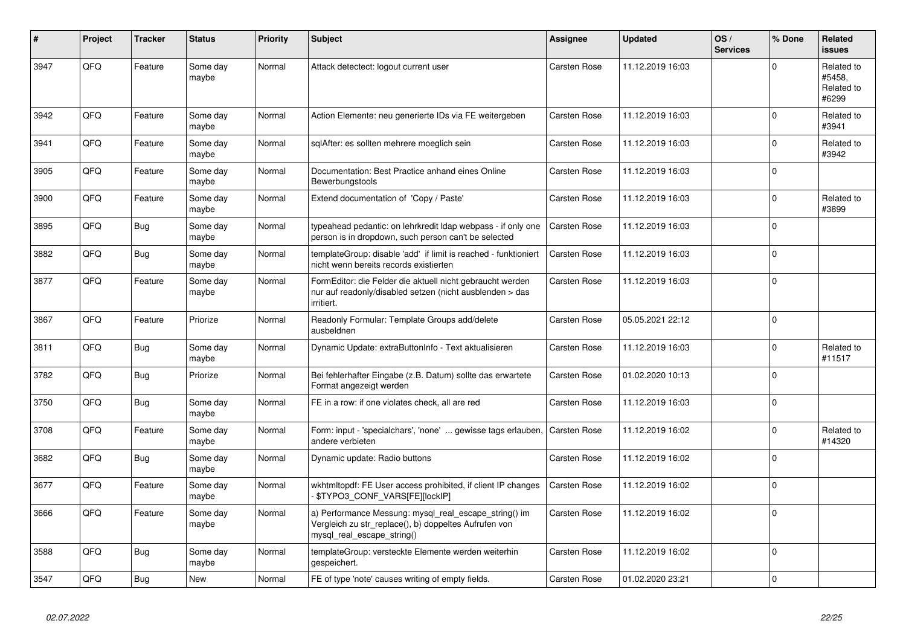| #    | Project | <b>Tracker</b> | <b>Status</b>     | <b>Priority</b> | <b>Subject</b>                                                                                                                               | Assignee            | <b>Updated</b>   | OS/<br><b>Services</b> | % Done         | Related<br><b>issues</b>                    |
|------|---------|----------------|-------------------|-----------------|----------------------------------------------------------------------------------------------------------------------------------------------|---------------------|------------------|------------------------|----------------|---------------------------------------------|
| 3947 | QFQ     | Feature        | Some day<br>maybe | Normal          | Attack detectect: logout current user                                                                                                        | <b>Carsten Rose</b> | 11.12.2019 16:03 |                        | $\Omega$       | Related to<br>#5458,<br>Related to<br>#6299 |
| 3942 | QFQ     | Feature        | Some day<br>maybe | Normal          | Action Elemente: neu generierte IDs via FE weitergeben                                                                                       | Carsten Rose        | 11.12.2019 16:03 |                        | $\Omega$       | Related to<br>#3941                         |
| 3941 | QFQ     | Feature        | Some day<br>maybe | Normal          | sqlAfter: es sollten mehrere moeglich sein                                                                                                   | Carsten Rose        | 11.12.2019 16:03 |                        | $\Omega$       | Related to<br>#3942                         |
| 3905 | QFQ     | Feature        | Some day<br>maybe | Normal          | Documentation: Best Practice anhand eines Online<br>Bewerbungstools                                                                          | Carsten Rose        | 11.12.2019 16:03 |                        | $\mathbf 0$    |                                             |
| 3900 | QFQ     | Feature        | Some day<br>maybe | Normal          | Extend documentation of 'Copy / Paste'                                                                                                       | Carsten Rose        | 11.12.2019 16:03 |                        | $\mathbf 0$    | Related to<br>#3899                         |
| 3895 | QFQ     | <b>Bug</b>     | Some day<br>maybe | Normal          | typeahead pedantic: on lehrkredit Idap webpass - if only one<br>person is in dropdown, such person can't be selected                         | <b>Carsten Rose</b> | 11.12.2019 16:03 |                        | $\mathbf 0$    |                                             |
| 3882 | QFQ     | <b>Bug</b>     | Some day<br>maybe | Normal          | templateGroup: disable 'add' if limit is reached - funktioniert<br>nicht wenn bereits records existierten                                    | Carsten Rose        | 11.12.2019 16:03 |                        | $\mathbf 0$    |                                             |
| 3877 | QFQ     | Feature        | Some day<br>maybe | Normal          | FormEditor: die Felder die aktuell nicht gebraucht werden<br>nur auf readonly/disabled setzen (nicht ausblenden > das<br>irritiert.          | <b>Carsten Rose</b> | 11.12.2019 16:03 |                        | $\overline{0}$ |                                             |
| 3867 | QFQ     | Feature        | Priorize          | Normal          | Readonly Formular: Template Groups add/delete<br>ausbeldnen                                                                                  | <b>Carsten Rose</b> | 05.05.2021 22:12 |                        | $\Omega$       |                                             |
| 3811 | QFQ     | <b>Bug</b>     | Some day<br>maybe | Normal          | Dynamic Update: extraButtonInfo - Text aktualisieren                                                                                         | <b>Carsten Rose</b> | 11.12.2019 16:03 |                        | $\Omega$       | Related to<br>#11517                        |
| 3782 | QFQ     | <b>Bug</b>     | Priorize          | Normal          | Bei fehlerhafter Eingabe (z.B. Datum) sollte das erwartete<br>Format angezeigt werden                                                        | <b>Carsten Rose</b> | 01.02.2020 10:13 |                        | $\Omega$       |                                             |
| 3750 | QFQ     | <b>Bug</b>     | Some day<br>maybe | Normal          | FE in a row: if one violates check, all are red                                                                                              | <b>Carsten Rose</b> | 11.12.2019 16:03 |                        | $\Omega$       |                                             |
| 3708 | QFQ     | Feature        | Some day<br>maybe | Normal          | Form: input - 'specialchars', 'none'  gewisse tags erlauben,<br>andere verbieten                                                             | <b>Carsten Rose</b> | 11.12.2019 16:02 |                        | $\mathbf 0$    | Related to<br>#14320                        |
| 3682 | QFQ     | <b>Bug</b>     | Some day<br>maybe | Normal          | Dynamic update: Radio buttons                                                                                                                | <b>Carsten Rose</b> | 11.12.2019 16:02 |                        | $\Omega$       |                                             |
| 3677 | QFQ     | Feature        | Some day<br>maybe | Normal          | wkhtmltopdf: FE User access prohibited, if client IP changes<br>\$TYPO3_CONF_VARS[FE][lockIP]                                                | <b>Carsten Rose</b> | 11.12.2019 16:02 |                        | $\Omega$       |                                             |
| 3666 | QFQ     | Feature        | Some day<br>maybe | Normal          | a) Performance Messung: mysql_real_escape_string() im<br>Vergleich zu str replace(), b) doppeltes Aufrufen von<br>mysql_real_escape_string() | <b>Carsten Rose</b> | 11.12.2019 16:02 |                        | $\Omega$       |                                             |
| 3588 | QFQ     | <b>Bug</b>     | Some day<br>maybe | Normal          | templateGroup: versteckte Elemente werden weiterhin<br>gespeichert.                                                                          | <b>Carsten Rose</b> | 11.12.2019 16:02 |                        | $\Omega$       |                                             |
| 3547 | QFQ     | <b>Bug</b>     | New               | Normal          | FE of type 'note' causes writing of empty fields.                                                                                            | <b>Carsten Rose</b> | 01.02.2020 23:21 |                        | $\mathbf 0$    |                                             |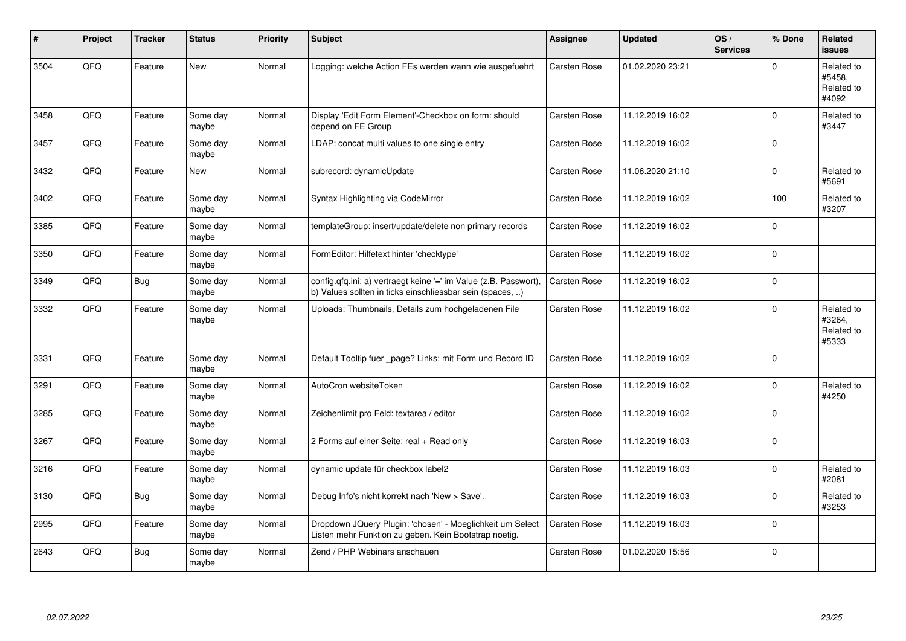| #    | Project | <b>Tracker</b> | <b>Status</b>     | <b>Priority</b> | <b>Subject</b>                                                                                                                | Assignee            | <b>Updated</b>   | OS/<br><b>Services</b> | % Done      | Related<br><b>issues</b>                    |
|------|---------|----------------|-------------------|-----------------|-------------------------------------------------------------------------------------------------------------------------------|---------------------|------------------|------------------------|-------------|---------------------------------------------|
| 3504 | QFQ     | Feature        | <b>New</b>        | Normal          | Logging: welche Action FEs werden wann wie ausgefuehrt                                                                        | Carsten Rose        | 01.02.2020 23:21 |                        | $\Omega$    | Related to<br>#5458,<br>Related to<br>#4092 |
| 3458 | QFQ     | Feature        | Some day<br>maybe | Normal          | Display 'Edit Form Element'-Checkbox on form: should<br>depend on FE Group                                                    | <b>Carsten Rose</b> | 11.12.2019 16:02 |                        | $\Omega$    | Related to<br>#3447                         |
| 3457 | QFQ     | Feature        | Some day<br>maybe | Normal          | LDAP: concat multi values to one single entry                                                                                 | <b>Carsten Rose</b> | 11.12.2019 16:02 |                        | $\Omega$    |                                             |
| 3432 | QFQ     | Feature        | <b>New</b>        | Normal          | subrecord: dynamicUpdate                                                                                                      | Carsten Rose        | 11.06.2020 21:10 |                        | $\mathbf 0$ | Related to<br>#5691                         |
| 3402 | QFQ     | Feature        | Some day<br>maybe | Normal          | Syntax Highlighting via CodeMirror                                                                                            | Carsten Rose        | 11.12.2019 16:02 |                        | 100         | Related to<br>#3207                         |
| 3385 | QFQ     | Feature        | Some day<br>maybe | Normal          | templateGroup: insert/update/delete non primary records                                                                       | <b>Carsten Rose</b> | 11.12.2019 16:02 |                        | $\Omega$    |                                             |
| 3350 | QFQ     | Feature        | Some day<br>maybe | Normal          | FormEditor: Hilfetext hinter 'checktype'                                                                                      | <b>Carsten Rose</b> | 11.12.2019 16:02 |                        | $\mathbf 0$ |                                             |
| 3349 | QFQ     | Bug            | Some day<br>maybe | Normal          | config.qfq.ini: a) vertraegt keine '=' im Value (z.B. Passwort),<br>b) Values sollten in ticks einschliessbar sein (spaces, ) | <b>Carsten Rose</b> | 11.12.2019 16:02 |                        | $\mathbf 0$ |                                             |
| 3332 | QFQ     | Feature        | Some day<br>maybe | Normal          | Uploads: Thumbnails, Details zum hochgeladenen File                                                                           | <b>Carsten Rose</b> | 11.12.2019 16:02 |                        | $\mathbf 0$ | Related to<br>#3264,<br>Related to<br>#5333 |
| 3331 | QFQ     | Feature        | Some day<br>maybe | Normal          | Default Tooltip fuer _page? Links: mit Form und Record ID                                                                     | <b>Carsten Rose</b> | 11.12.2019 16:02 |                        | $\Omega$    |                                             |
| 3291 | QFQ     | Feature        | Some day<br>maybe | Normal          | AutoCron websiteToken                                                                                                         | Carsten Rose        | 11.12.2019 16:02 |                        | $\Omega$    | Related to<br>#4250                         |
| 3285 | QFQ     | Feature        | Some day<br>maybe | Normal          | Zeichenlimit pro Feld: textarea / editor                                                                                      | Carsten Rose        | 11.12.2019 16:02 |                        | $\Omega$    |                                             |
| 3267 | QFQ     | Feature        | Some day<br>maybe | Normal          | 2 Forms auf einer Seite: real + Read only                                                                                     | <b>Carsten Rose</b> | 11.12.2019 16:03 |                        | $\mathbf 0$ |                                             |
| 3216 | QFQ     | Feature        | Some day<br>maybe | Normal          | dynamic update für checkbox label2                                                                                            | <b>Carsten Rose</b> | 11.12.2019 16:03 |                        | $\mathbf 0$ | Related to<br>#2081                         |
| 3130 | QFQ     | Bug            | Some day<br>maybe | Normal          | Debug Info's nicht korrekt nach 'New > Save'.                                                                                 | Carsten Rose        | 11.12.2019 16:03 |                        | $\Omega$    | Related to<br>#3253                         |
| 2995 | QFG     | Feature        | Some day<br>maybe | Normal          | Dropdown JQuery Plugin: 'chosen' - Moeglichkeit um Select<br>Listen mehr Funktion zu geben. Kein Bootstrap noetig.            | <b>Carsten Rose</b> | 11.12.2019 16:03 |                        | $\Omega$    |                                             |
| 2643 | QFQ     | Bug            | Some day<br>maybe | Normal          | Zend / PHP Webinars anschauen                                                                                                 | Carsten Rose        | 01.02.2020 15:56 |                        | $\Omega$    |                                             |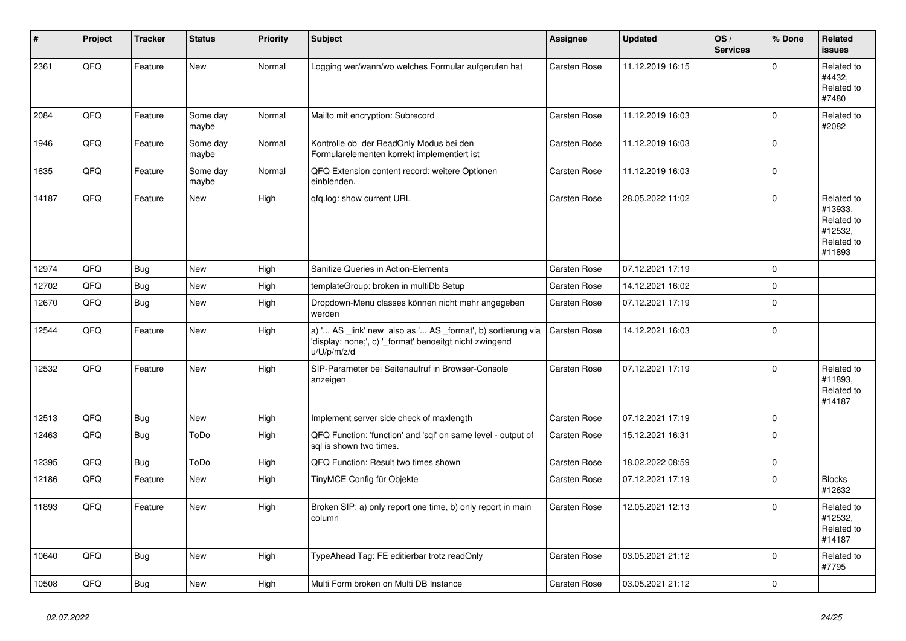| #     | Project    | <b>Tracker</b> | <b>Status</b>     | <b>Priority</b> | <b>Subject</b>                                                                                                                        | Assignee            | <b>Updated</b>   | OS/<br><b>Services</b> | % Done      | Related<br><b>issues</b>                                               |
|-------|------------|----------------|-------------------|-----------------|---------------------------------------------------------------------------------------------------------------------------------------|---------------------|------------------|------------------------|-------------|------------------------------------------------------------------------|
| 2361  | QFQ        | Feature        | <b>New</b>        | Normal          | Logging wer/wann/wo welches Formular aufgerufen hat                                                                                   | Carsten Rose        | 11.12.2019 16:15 |                        | $\Omega$    | Related to<br>#4432,<br>Related to<br>#7480                            |
| 2084  | QFQ        | Feature        | Some day<br>maybe | Normal          | Mailto mit encryption: Subrecord                                                                                                      | <b>Carsten Rose</b> | 11.12.2019 16:03 |                        | $\mathbf 0$ | Related to<br>#2082                                                    |
| 1946  | QFQ        | Feature        | Some day<br>maybe | Normal          | Kontrolle ob der ReadOnly Modus bei den<br>Formularelementen korrekt implementiert ist                                                | Carsten Rose        | 11.12.2019 16:03 |                        | $\Omega$    |                                                                        |
| 1635  | QFQ        | Feature        | Some day<br>maybe | Normal          | QFQ Extension content record: weitere Optionen<br>einblenden.                                                                         | Carsten Rose        | 11.12.2019 16:03 |                        | $\mathbf 0$ |                                                                        |
| 14187 | QFQ        | Feature        | <b>New</b>        | High            | qfq.log: show current URL                                                                                                             | Carsten Rose        | 28.05.2022 11:02 |                        | $\mathbf 0$ | Related to<br>#13933,<br>Related to<br>#12532,<br>Related to<br>#11893 |
| 12974 | QFQ        | <b>Bug</b>     | <b>New</b>        | High            | Sanitize Queries in Action-Elements                                                                                                   | <b>Carsten Rose</b> | 07.12.2021 17:19 |                        | $\mathbf 0$ |                                                                        |
| 12702 | QFQ        | Bug            | <b>New</b>        | High            | templateGroup: broken in multiDb Setup                                                                                                | Carsten Rose        | 14.12.2021 16:02 |                        | $\Omega$    |                                                                        |
| 12670 | QFQ        | <b>Bug</b>     | <b>New</b>        | High            | Dropdown-Menu classes können nicht mehr angegeben<br>werden                                                                           | Carsten Rose        | 07.12.2021 17:19 |                        | $\Omega$    |                                                                        |
| 12544 | QFQ        | Feature        | <b>New</b>        | High            | a) ' AS _link' new also as ' AS _format', b) sortierung via<br>'display: none;', c) '_format' benoeitgt nicht zwingend<br>u/U/p/m/z/d | Carsten Rose        | 14.12.2021 16:03 |                        | $\mathbf 0$ |                                                                        |
| 12532 | <b>OFO</b> | Feature        | <b>New</b>        | High            | SIP-Parameter bei Seitenaufruf in Browser-Console<br>anzeigen                                                                         | Carsten Rose        | 07.12.2021 17:19 |                        | $\Omega$    | Related to<br>#11893.<br>Related to<br>#14187                          |
| 12513 | QFQ        | <b>Bug</b>     | <b>New</b>        | High            | Implement server side check of maxlength                                                                                              | <b>Carsten Rose</b> | 07.12.2021 17:19 |                        | $\mathbf 0$ |                                                                        |
| 12463 | QFQ        | Bug            | ToDo              | High            | QFQ Function: 'function' and 'sql' on same level - output of<br>sgl is shown two times.                                               | Carsten Rose        | 15.12.2021 16:31 |                        | $\Omega$    |                                                                        |
| 12395 | QFQ        | <b>Bug</b>     | ToDo              | High            | QFQ Function: Result two times shown                                                                                                  | Carsten Rose        | 18.02.2022 08:59 |                        | $\mathbf 0$ |                                                                        |
| 12186 | QFQ        | Feature        | <b>New</b>        | High            | TinyMCE Config für Objekte                                                                                                            | Carsten Rose        | 07.12.2021 17:19 |                        | $\Omega$    | <b>Blocks</b><br>#12632                                                |
| 11893 | QFQ        | Feature        | <b>New</b>        | High            | Broken SIP: a) only report one time, b) only report in main<br>column                                                                 | <b>Carsten Rose</b> | 12.05.2021 12:13 |                        | $\mathbf 0$ | Related to<br>#12532,<br>Related to<br>#14187                          |
| 10640 | QFQ        | <b>Bug</b>     | <b>New</b>        | High            | TypeAhead Tag: FE editierbar trotz readOnly                                                                                           | Carsten Rose        | 03.05.2021 21:12 |                        | $\mathbf 0$ | Related to<br>#7795                                                    |
| 10508 | QFQ        | Bug            | New               | High            | Multi Form broken on Multi DB Instance                                                                                                | Carsten Rose        | 03.05.2021 21:12 |                        | $\mathbf 0$ |                                                                        |